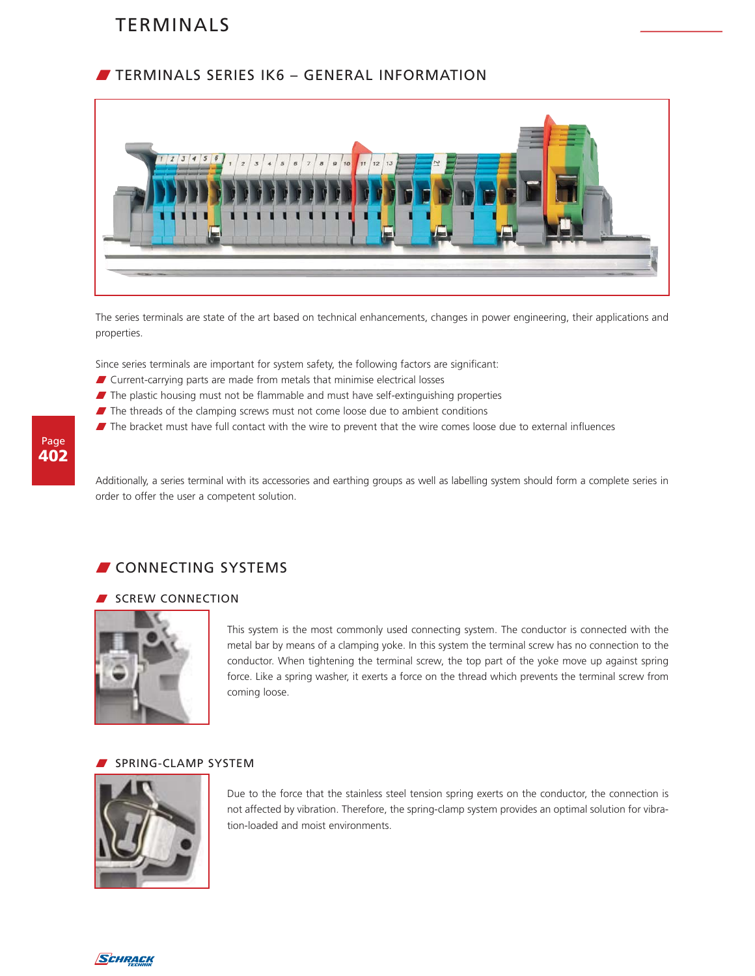## **TERMINALS SERIES IK6 - GENERAL INFORMATION**



The series terminals are state of the art based on technical enhancements, changes in power engineering, their applications and properties.

Since series terminals are important for system safety, the following factors are significant:

- $\blacksquare$  Current-carrying parts are made from metals that minimise electrical losses
- $\blacksquare$  The plastic housing must not be flammable and must have self-extinguishing properties
- $\blacksquare$  The threads of the clamping screws must not come loose due to ambient conditions
- The bracket must have full contact with the wire to prevent that the wire comes loose due to external influences

Additionally, a series terminal with its accessories and earthing groups as well as labelling system should form a complete series in order to offer the user a competent solution.

## **CONNECTING SYSTEMS**

### SCREW CONNECTION



This system is the most commonly used connecting system. The conductor is connected with the metal bar by means of a clamping yoke. In this system the terminal screw has no connection to the conductor. When tightening the terminal screw, the top part of the yoke move up against spring force. Like a spring washer, it exerts a force on the thread which prevents the terminal screw from coming loose.

### SPRING-CLAMP SYSTEM



Due to the force that the stainless steel tension spring exerts on the conductor, the connection is not affected by vibration. Therefore, the spring-clamp system provides an optimal solution for vibration-loaded and moist environments.

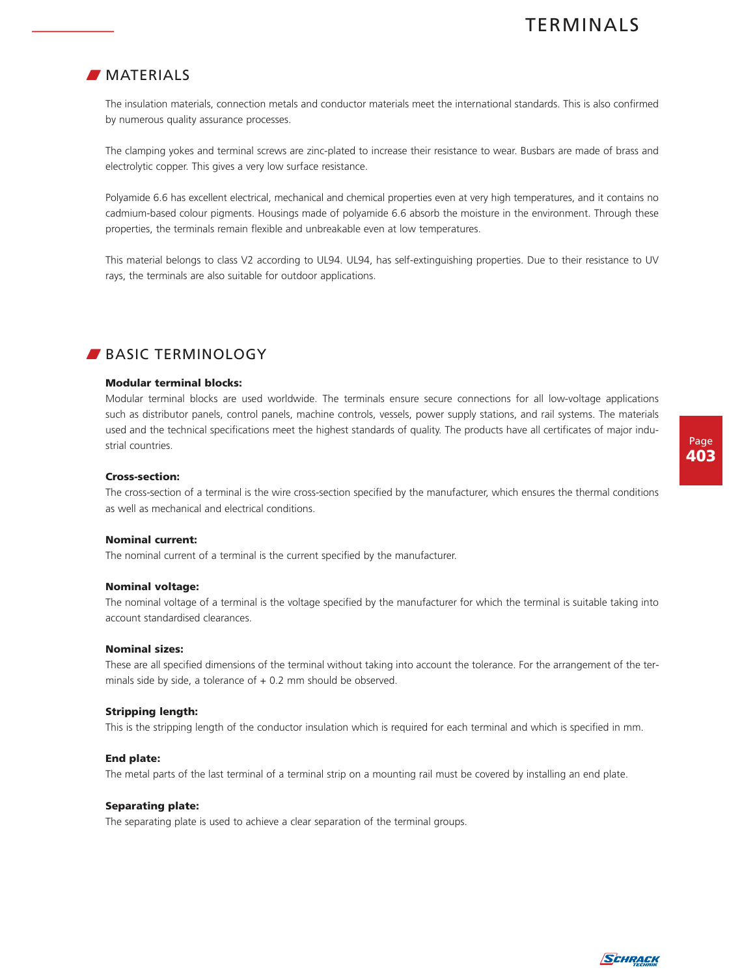### $\blacksquare$  MATERIALS

The insulation materials, connection metals and conductor materials meet the international standards. This is also confirmed by numerous quality assurance processes.

The clamping yokes and terminal screws are zinc-plated to increase their resistance to wear. Busbars are made of brass and electrolytic copper. This gives a very low surface resistance.

Polyamide 6.6 has excellent electrical, mechanical and chemical properties even at very high temperatures, and it contains no cadmium-based colour pigments. Housings made of polyamide 6.6 absorb the moisture in the environment. Through these properties, the terminals remain flexible and unbreakable even at low temperatures.

This material belongs to class V2 according to UL94. UL94, has self-extinguishing properties. Due to their resistance to UV rays, the terminals are also suitable for outdoor applications.

### BASIC TERMINOLOGY

### **Modular terminal blocks:**

Modular terminal blocks are used worldwide. The terminals ensure secure connections for all low-voltage applications such as distributor panels, control panels, machine controls, vessels, power supply stations, and rail systems. The materials used and the technical specifications meet the highest standards of quality. The products have all certificates of major industrial countries.

### **Cross-section:**

The cross-section of a terminal is the wire cross-section specified by the manufacturer, which ensures the thermal conditions as well as mechanical and electrical conditions.

### **Nominal current:**

The nominal current of a terminal is the current specified by the manufacturer.

### **Nominal voltage:**

The nominal voltage of a terminal is the voltage specified by the manufacturer for which the terminal is suitable taking into account standardised clearances.

### **Nominal sizes:**

These are all specified dimensions of the terminal without taking into account the tolerance. For the arrangement of the terminals side by side, a tolerance of  $+$  0.2 mm should be observed.

### **Stripping length:**

This is the stripping length of the conductor insulation which is required for each terminal and which is specified in mm.

### **End plate:**

The metal parts of the last terminal of a terminal strip on a mounting rail must be covered by installing an end plate.

### **Separating plate:**

The separating plate is used to achieve a clear separation of the terminal groups.

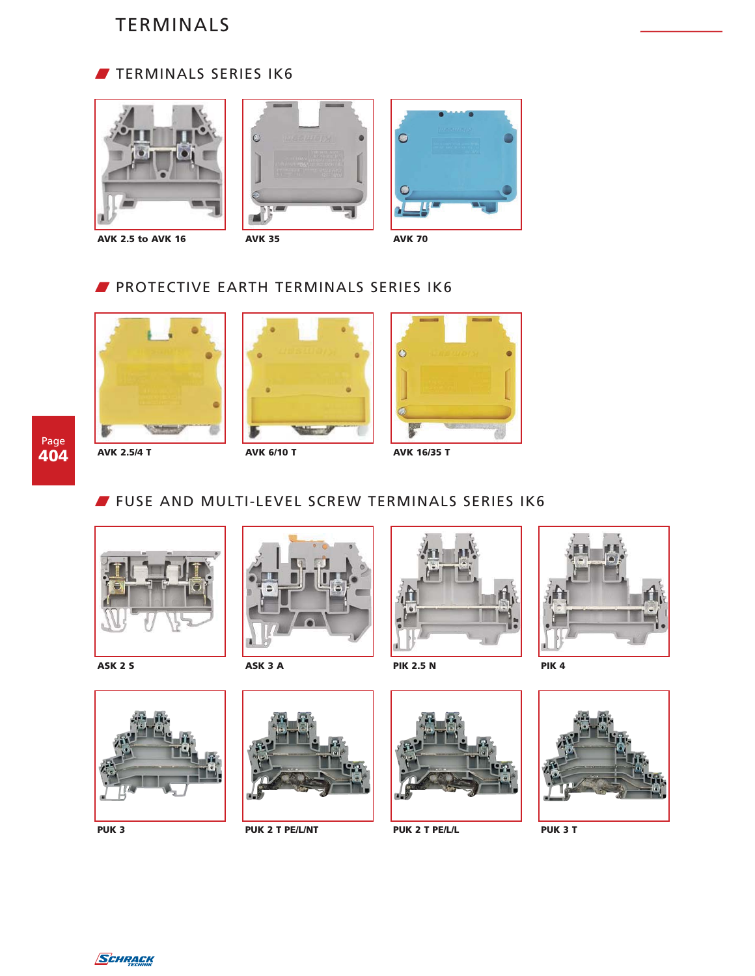









**AVK 2.5 to AVK 16 AVK 35 AVK 70**

## **PROTECTIVE EARTH TERMINALS SERIES IK6**









# **FUSE AND MULTI-LEVEL SCREW TERMINALS SERIES IK6**





**ASK 2 S ASK 3 A PIK 2.5 N PIK 4**











**PUK 3 PUK 2 T PE/L/NT PUK 2 T PE/L/L PUK 3 T**





SCHRACK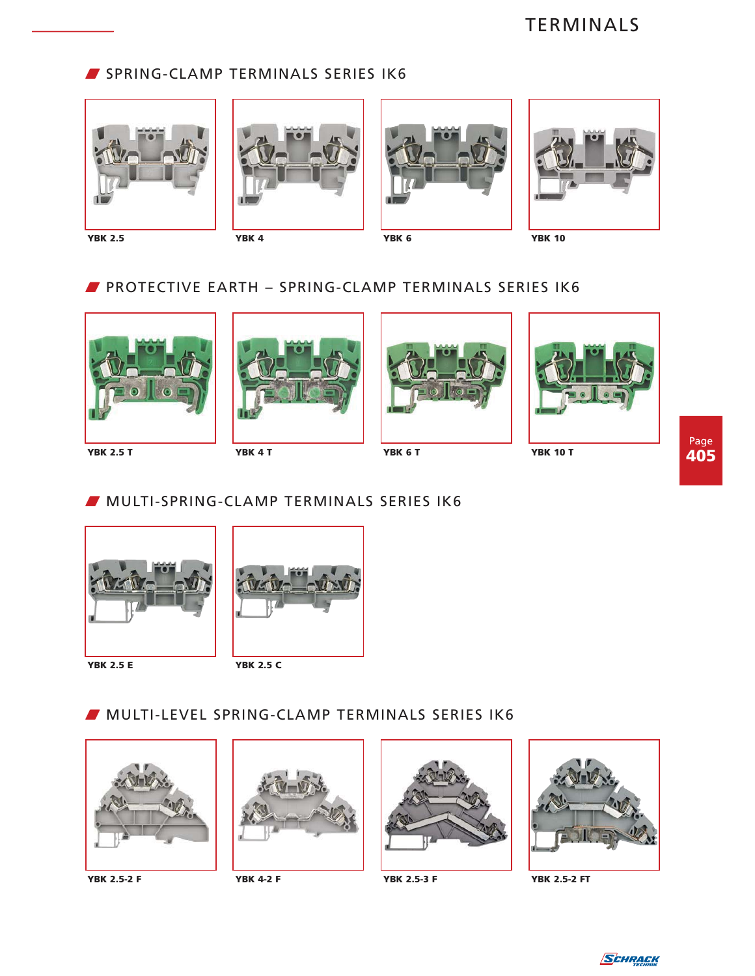### SPRING-CLAMP TERMINALS SERIES IK6









**YBK 2.5 YBK 4 YBK 6 YBK 10**

## W PROTECTIVE EARTH – SPRING-CLAMP TERMINALS SERIES IK6









Page **405**



### W MULTI-SPRING-CLAMP TERMINALS SERIES IK6





# W MULTI-LEVEL SPRING-CLAMP TERMINALS SERIES IK6









**YBK 2.5-2 F YBK 4-2 F YBK 2.5-3 F YBK 2.5-2 FT**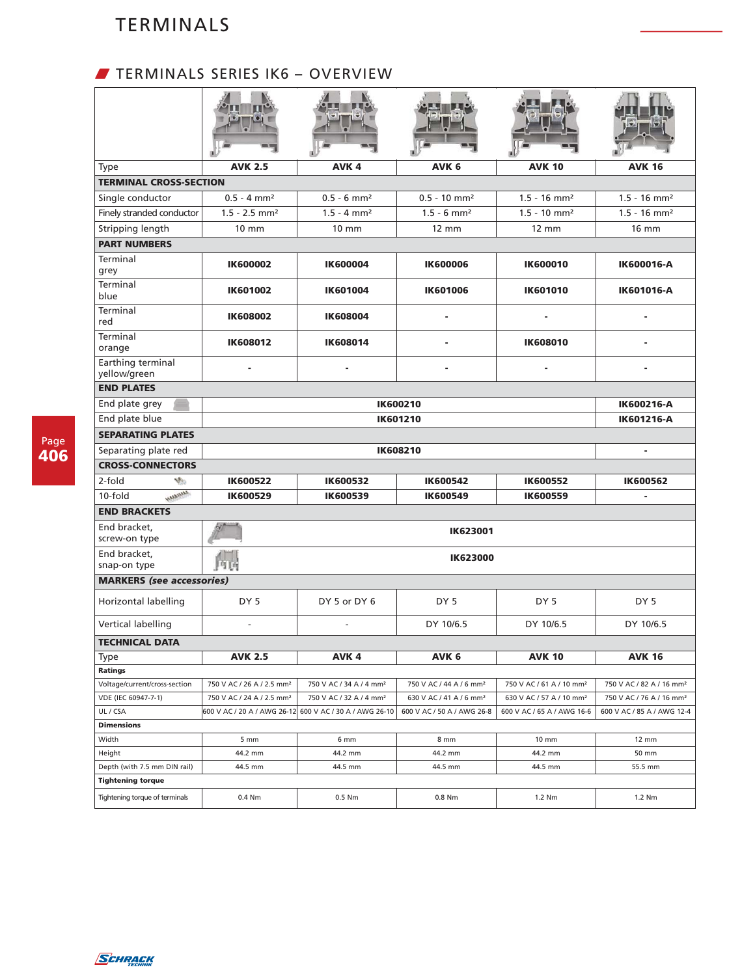# W TERMINALS SERIES IK6 – OVERVIEW

| <b>Type</b>                       | <b>AVK 2.5</b>                        | AVK <sub>4</sub>                    | AVK <sub>6</sub>                    | <b>AVK 10</b>                        | <b>AVK 16</b>                        |  |  |
|-----------------------------------|---------------------------------------|-------------------------------------|-------------------------------------|--------------------------------------|--------------------------------------|--|--|
| <b>TERMINAL CROSS-SECTION</b>     |                                       |                                     |                                     |                                      |                                      |  |  |
| Single conductor                  | $0.5 - 4$ mm <sup>2</sup>             | $0.5 - 6$ mm <sup>2</sup>           | $0.5 - 10$ mm <sup>2</sup>          | $1.5 - 16$ mm <sup>2</sup>           | $1.5 - 16$ mm <sup>2</sup>           |  |  |
| Finely stranded conductor         | $1.5 - 2.5$ mm <sup>2</sup>           | $1.5 - 4$ mm <sup>2</sup>           | $1.5 - 6$ mm <sup>2</sup>           | $1.5 - 10$ mm <sup>2</sup>           | $1.5 - 16$ mm <sup>2</sup>           |  |  |
| Stripping length                  | $10 \text{ mm}$                       | $10 \text{ mm}$                     | $12 \text{ mm}$                     | $12 \text{ mm}$                      | $16 \text{ mm}$                      |  |  |
| <b>PART NUMBERS</b>               |                                       |                                     |                                     |                                      |                                      |  |  |
| Terminal<br>grey                  | <b>IK600002</b>                       | <b>IK600004</b>                     | <b>IK600006</b>                     | <b>IK600010</b>                      | IK600016-A                           |  |  |
| Terminal<br>blue                  | <b>IK601002</b>                       | <b>IK601004</b>                     | <b>IK601006</b>                     | <b>IK601010</b>                      | <b>IK601016-A</b>                    |  |  |
| Terminal<br>red                   | <b>IK608002</b>                       | <b>IK608004</b>                     |                                     |                                      |                                      |  |  |
| Terminal<br>orange                | <b>IK608012</b>                       | <b>IK608014</b>                     | ٠                                   | <b>IK608010</b>                      |                                      |  |  |
| Earthing terminal<br>yellow/green |                                       |                                     |                                     |                                      |                                      |  |  |
| <b>END PLATES</b>                 |                                       |                                     |                                     |                                      |                                      |  |  |
| End plate grey                    |                                       | <b>IK600216-A</b>                   |                                     |                                      |                                      |  |  |
| End plate blue                    |                                       |                                     | IK601210                            |                                      | IK601216-A                           |  |  |
| <b>SEPARATING PLATES</b>          |                                       |                                     |                                     |                                      |                                      |  |  |
| Separating plate red              |                                       |                                     | IK608210                            |                                      |                                      |  |  |
| <b>CROSS-CONNECTORS</b>           |                                       |                                     |                                     |                                      |                                      |  |  |
| 2-fold<br>V.                      | <b>IK600522</b>                       | IK600532                            | <b>IK600542</b>                     | <b>IK600552</b>                      | <b>IK600562</b>                      |  |  |
| <b>AMARANA</b><br>10-fold         | <b>IK600529</b>                       | <b>IK600539</b>                     | <b>IK600549</b>                     | <b>IK600559</b>                      |                                      |  |  |
| <b>END BRACKETS</b>               |                                       |                                     |                                     |                                      |                                      |  |  |
| End bracket,<br>screw-on type     |                                       |                                     | <b>IK623001</b>                     |                                      |                                      |  |  |
| End bracket,<br>snap-on type      | 所属                                    |                                     | <b>IK623000</b>                     |                                      |                                      |  |  |
| <b>MARKERS</b> (see accessories)  |                                       |                                     |                                     |                                      |                                      |  |  |
| Horizontal labelling              | DY <sub>5</sub>                       | DY 5 or DY 6                        | DY <sub>5</sub>                     | DY <sub>5</sub>                      | DY 5                                 |  |  |
| Vertical labelling                | $\blacksquare$                        | $\overline{a}$                      | DY 10/6.5                           | DY 10/6.5                            | DY 10/6.5                            |  |  |
| <b>TECHNICAL DATA</b>             |                                       |                                     |                                     |                                      |                                      |  |  |
| Type<br>Ratings                   | <b>AVK 2.5</b>                        | AVK 4                               | AVK 6                               | <b>AVK 10</b>                        | <b>AVK 16</b>                        |  |  |
| Voltage/current/cross-section     | 750 V AC / 26 A / 2.5 mm <sup>2</sup> | 750 V AC / 34 A / 4 mm <sup>2</sup> | 750 V AC / 44 A / 6 mm <sup>2</sup> | 750 V AC / 61 A / 10 mm <sup>2</sup> | 750 V AC / 82 A / 16 mm <sup>2</sup> |  |  |
| VDE (IEC 60947-7-1)               | 750 V AC / 24 A / 2.5 mm <sup>2</sup> | 750 V AC / 32 A / 4 mm <sup>2</sup> | 630 V AC / 41 A / 6 mm <sup>2</sup> | 630 V AC / 57 A / 10 mm <sup>2</sup> | 750 V AC / 76 A / 16 mm <sup>2</sup> |  |  |
| UL / CSA                          | 600 V AC / 20 A / AWG 26-12           | 600 V AC / 30 A / AWG 26-10         | 600 V AC / 50 A / AWG 26-8          | 600 V AC / 65 A / AWG 16-6           | 600 V AC / 85 A / AWG 12-4           |  |  |
| <b>Dimensions</b>                 |                                       |                                     |                                     |                                      |                                      |  |  |
| Width                             | 5 mm                                  | 6 mm                                | 8 mm                                | 10 mm                                | 12 mm                                |  |  |
| Height                            | 44.2 mm                               | 44.2 mm                             | 44.2 mm                             | 44.2 mm                              | 50 mm                                |  |  |
| Depth (with 7.5 mm DIN rail)      | 44.5 mm                               | 44.5 mm                             | 44.5 mm                             | 44.5 mm                              | 55.5 mm                              |  |  |
| <b>Tightening torque</b>          |                                       |                                     |                                     |                                      |                                      |  |  |
| Tightening torque of terminals    | 0.4 Nm                                | 0.5 Nm                              | 0.8 Nm                              | 1.2 Nm                               | 1.2 Nm                               |  |  |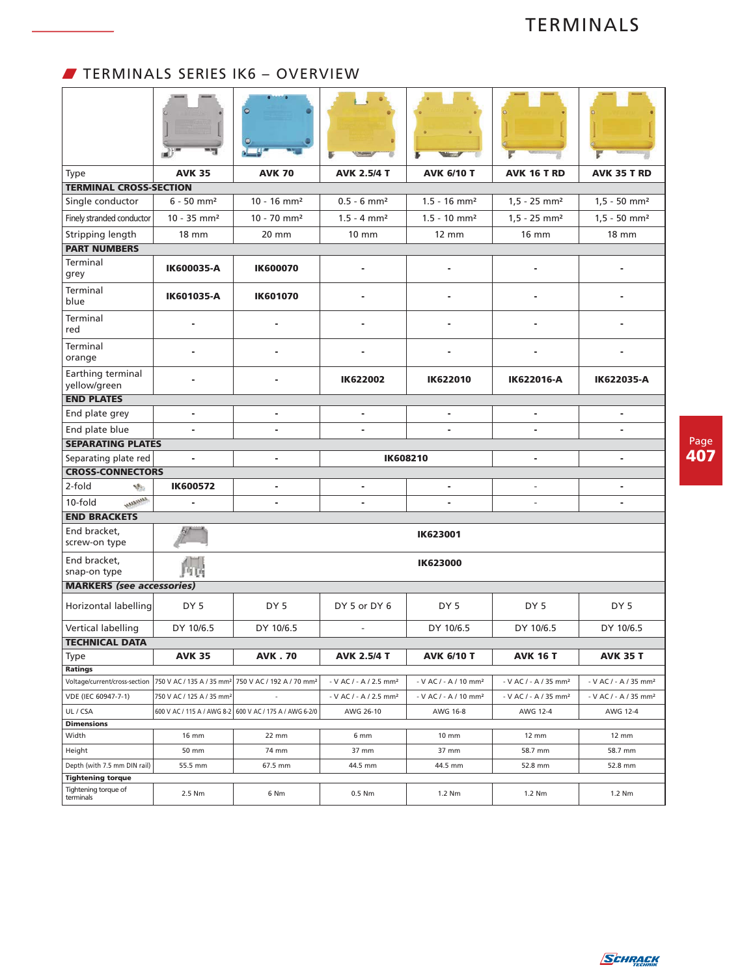# W TERMINALS SERIES IK6 – OVERVIEW

| Type                                            | <b>AVK 35</b>                         | <b>AVK 70</b>                                                               | <b>AVK 2.5/4 T</b>                              | <b>AVK 6/10 T</b>                             | <b>AVK 16 T RD</b>                            | <b>AVK 35 T RD</b>                            |
|-------------------------------------------------|---------------------------------------|-----------------------------------------------------------------------------|-------------------------------------------------|-----------------------------------------------|-----------------------------------------------|-----------------------------------------------|
| <b>TERMINAL CROSS-SECTION</b>                   |                                       |                                                                             |                                                 |                                               |                                               |                                               |
| Single conductor                                | $6 - 50$ mm <sup>2</sup>              | $10 - 16$ mm <sup>2</sup>                                                   | $0.5 - 6$ mm <sup>2</sup>                       | $1.5 - 16$ mm <sup>2</sup>                    | $1,5 - 25$ mm <sup>2</sup>                    | $1,5 - 50$ mm <sup>2</sup>                    |
| Finely stranded conductor                       | $10 - 35$ mm <sup>2</sup>             | $10 - 70$ mm <sup>2</sup>                                                   | $1.5 - 4$ mm <sup>2</sup>                       | $1.5 - 10$ mm <sup>2</sup>                    | $1,5 - 25$ mm <sup>2</sup>                    | $1,5 - 50$ mm <sup>2</sup>                    |
| Stripping length                                | <b>18 mm</b>                          | $20 \text{ mm}$                                                             | $10 \text{ mm}$                                 | 12 mm                                         | <b>16 mm</b>                                  | <b>18 mm</b>                                  |
| <b>PART NUMBERS</b>                             |                                       |                                                                             |                                                 |                                               |                                               |                                               |
| Terminal<br>grey                                | IK600035-A                            | <b>IK600070</b>                                                             |                                                 |                                               |                                               |                                               |
| Terminal<br>blue                                | IK601035-A                            | <b>IK601070</b>                                                             | ۰                                               |                                               |                                               |                                               |
| Terminal<br>red                                 |                                       |                                                                             |                                                 |                                               |                                               |                                               |
| Terminal<br>orange                              |                                       |                                                                             |                                                 |                                               |                                               |                                               |
| Earthing terminal<br>yellow/green               |                                       |                                                                             | <b>IK622002</b>                                 | <b>IK622010</b>                               | IK622016-A                                    | IK622035-A                                    |
| <b>END PLATES</b>                               |                                       |                                                                             |                                                 |                                               |                                               |                                               |
| End plate grey                                  | $\blacksquare$                        | $\blacksquare$                                                              | ä,                                              | $\blacksquare$                                | $\blacksquare$                                | $\blacksquare$                                |
| End plate blue                                  | ٠                                     | $\overline{a}$                                                              |                                                 |                                               |                                               |                                               |
| <b>SEPARATING PLATES</b>                        |                                       |                                                                             |                                                 |                                               |                                               |                                               |
| Separating plate red                            | ä,                                    | ä,                                                                          |                                                 | <b>IK608210</b>                               | ÷                                             | $\blacksquare$                                |
| <b>CROSS-CONNECTORS</b>                         |                                       |                                                                             |                                                 |                                               |                                               |                                               |
| 2-fold<br>V.                                    | <b>IK600572</b>                       | $\blacksquare$                                                              | ٠                                               |                                               | $\frac{1}{2}$                                 | $\blacksquare$                                |
| <b>AMARANA</b><br>10-fold                       |                                       | ٠                                                                           |                                                 |                                               | $\frac{1}{2}$                                 |                                               |
| <b>END BRACKETS</b>                             |                                       |                                                                             |                                                 |                                               |                                               |                                               |
| End bracket,<br>screw-on type                   |                                       |                                                                             |                                                 | <b>IK623001</b>                               |                                               |                                               |
| End bracket,<br>snap-on type                    | 所属                                    |                                                                             |                                                 | <b>IK623000</b>                               |                                               |                                               |
| <b>MARKERS</b> (see accessories)                |                                       |                                                                             |                                                 |                                               |                                               |                                               |
| Horizontal labelling                            | DY <sub>5</sub>                       | DY <sub>5</sub>                                                             | DY 5 or DY 6                                    | DY <sub>5</sub>                               | DY 5                                          | DY <sub>5</sub>                               |
| Vertical labelling                              | DY 10/6.5                             | DY 10/6.5                                                                   | $\overline{\phantom{a}}$                        | DY 10/6.5                                     | DY 10/6.5                                     | DY 10/6.5                                     |
| TECHNICAL DATA                                  |                                       |                                                                             |                                                 |                                               |                                               |                                               |
| Type                                            | <b>AVK 35</b>                         | <b>AVK.70</b>                                                               | <b>AVK 2.5/4 T</b>                              | <b>AVK 6/10 T</b>                             | <b>AVK 16 T</b>                               | <b>AVK 35 T</b>                               |
| <b>Ratings</b><br>Voltage/current/cross-section |                                       | 750 V AC / 135 A / 35 mm <sup>2</sup> 750 V AC / 192 A / 70 mm <sup>2</sup> | - V AC / - A / 2.5 mm <sup>2</sup>              | $-V$ AC $/$ - A $/$ 10 mm <sup>2</sup>        | - V AC / - A / 35 mm <sup>2</sup>             | - V AC / - A / 35 mm <sup>2</sup>             |
| VDE (IEC 60947-7-1)                             | 750 V AC / 125 A / 35 mm <sup>2</sup> |                                                                             |                                                 |                                               |                                               |                                               |
| UL / CSA                                        |                                       | 600 V AC / 115 A / AWG 8-2 600 V AC / 175 A / AWG 6-2/0                     | - V AC / - A / 2.5 mm <sup>2</sup><br>AWG 26-10 | - V AC / - A / 10 mm <sup>2</sup><br>AWG 16-8 | - V AC / - A / 35 mm <sup>2</sup><br>AWG 12-4 | - V AC / - A / 35 mm <sup>2</sup><br>AWG 12-4 |
| <b>Dimensions</b>                               |                                       |                                                                             |                                                 |                                               |                                               |                                               |
| Width                                           | 16 mm                                 | 22 mm                                                                       | 6 mm                                            | 10 mm                                         | $12 \, \text{mm}$                             | 12 mm                                         |
| Height                                          | 50 mm                                 | 74 mm                                                                       | 37 mm                                           | 37 mm                                         | 58.7 mm                                       | 58.7 mm                                       |
| Depth (with 7.5 mm DIN rail)                    | 55.5 mm                               | 67.5 mm                                                                     | 44.5 mm                                         | 44.5 mm                                       | 52.8 mm                                       | 52.8 mm                                       |
| <b>Tightening torque</b>                        |                                       |                                                                             |                                                 |                                               |                                               |                                               |
| Tightening torque of<br>terminals               | 2.5 Nm                                | 6 Nm                                                                        | 0.5 Nm                                          | 1.2 Nm                                        | 1.2 Nm                                        | 1.2 Nm                                        |

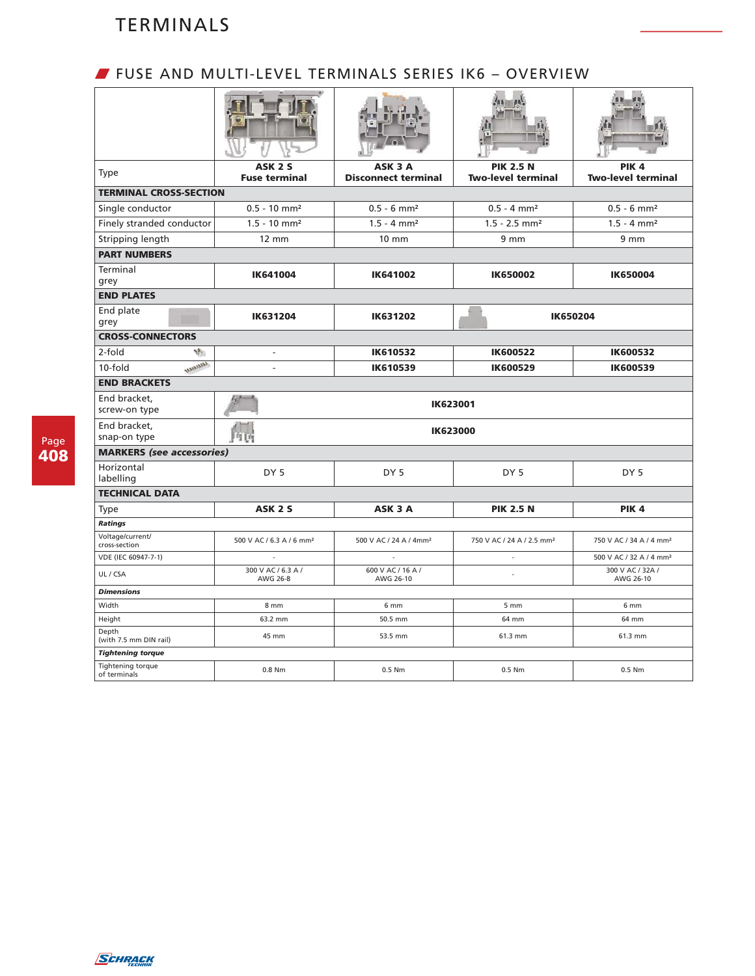### W FUSE AND MULTI-LEVEL TERMINALS SERIES IK6 – OVERVIEW

| <b>Type</b>                       | ASK <sub>2</sub> S<br><b>Fuse terminal</b> | ASK 3 A<br><b>Disconnect terminal</b> | <b>PIK 2.5 N</b><br><b>Two-level terminal</b> | PIK <sub>4</sub><br><b>Two-level terminal</b> |  |  |
|-----------------------------------|--------------------------------------------|---------------------------------------|-----------------------------------------------|-----------------------------------------------|--|--|
| <b>TERMINAL CROSS-SECTION</b>     |                                            |                                       |                                               |                                               |  |  |
| Single conductor                  | $0.5 - 10$ mm <sup>2</sup>                 | $0.5 - 6$ mm <sup>2</sup>             | $0.5 - 4$ mm <sup>2</sup>                     | $0.5 - 6$ mm <sup>2</sup>                     |  |  |
| Finely stranded conductor         | $1.5 - 10$ mm <sup>2</sup>                 | $1.5 - 4$ mm <sup>2</sup>             | $1.5 - 2.5$ mm <sup>2</sup>                   | $1.5 - 4$ mm <sup>2</sup>                     |  |  |
| Stripping length                  | $12 \text{ mm}$                            | 10 mm                                 | 9 <sub>mm</sub>                               | 9 <sub>mm</sub>                               |  |  |
| <b>PART NUMBERS</b>               |                                            |                                       |                                               |                                               |  |  |
| Terminal<br>grey                  | IK641004                                   | IK641002                              | <b>IK650002</b>                               | <b>IK650004</b>                               |  |  |
| <b>END PLATES</b>                 |                                            |                                       |                                               |                                               |  |  |
| End plate<br>grey                 | IK631204                                   | IK631202                              |                                               | <b>IK650204</b>                               |  |  |
| <b>CROSS-CONNECTORS</b>           |                                            |                                       |                                               |                                               |  |  |
| 2-fold<br>V.                      | $\overline{\phantom{a}}$                   | IK610532                              | <b>IK600522</b>                               | <b>IK600532</b>                               |  |  |
| <b>AMARAGED</b><br>10-fold        | $\overline{\phantom{a}}$                   | <b>IK610539</b>                       | <b>IK600529</b>                               | IK600539                                      |  |  |
| <b>END BRACKETS</b>               |                                            |                                       |                                               |                                               |  |  |
| End bracket,<br>screw-on type     | <b>IK623001</b>                            |                                       |                                               |                                               |  |  |
| End bracket,<br>snap-on type      | 内店                                         | <b>IK623000</b>                       |                                               |                                               |  |  |
| <b>MARKERS</b> (see accessories)  |                                            |                                       |                                               |                                               |  |  |
| Horizontal<br>labelling           | DY <sub>5</sub>                            | DY <sub>5</sub>                       | DY <sub>5</sub>                               | DY <sub>5</sub>                               |  |  |
| <b>TECHNICAL DATA</b>             |                                            |                                       |                                               |                                               |  |  |
| <b>Type</b>                       | ASK <sub>2</sub> S                         | ASK 3 A                               | <b>PIK 2.5 N</b>                              | PIK <sub>4</sub>                              |  |  |
| <b>Ratings</b>                    |                                            |                                       |                                               |                                               |  |  |
| Voltage/current/<br>cross-section | 500 V AC / 6.3 A / 6 mm <sup>2</sup>       | 500 V AC / 24 A / 4mm <sup>2</sup>    | 750 V AC / 24 A / 2.5 mm <sup>2</sup>         | 750 V AC / 34 A / 4 mm <sup>2</sup>           |  |  |
| VDE (IEC 60947-7-1)               |                                            |                                       | $\overline{\phantom{a}}$                      | 500 V AC / 32 A / 4 mm <sup>2</sup>           |  |  |
| UL / CSA                          | 300 V AC / 6.3 A /<br>AWG 26-8             | 600 V AC / 16 A /<br>AWG 26-10        |                                               | 300 V AC / 32A /<br>AWG 26-10                 |  |  |
| <b>Dimensions</b>                 |                                            |                                       |                                               |                                               |  |  |
| Width                             | 8 mm                                       | 6 mm                                  | 5 mm                                          | 6 mm                                          |  |  |
| Height<br>Depth                   | 63.2 mm                                    | 50.5 mm                               | 64 mm                                         | 64 mm                                         |  |  |
| (with 7.5 mm DIN rail)            | 45 mm                                      | 53.5 mm                               | 61.3 mm                                       | 61.3 mm                                       |  |  |
| <b>Tightening torque</b>          |                                            |                                       |                                               |                                               |  |  |
| Tightening torque<br>of terminals | 0.8 Nm                                     | 0.5 Nm                                | $0.5$ Nm                                      | 0.5 Nm                                        |  |  |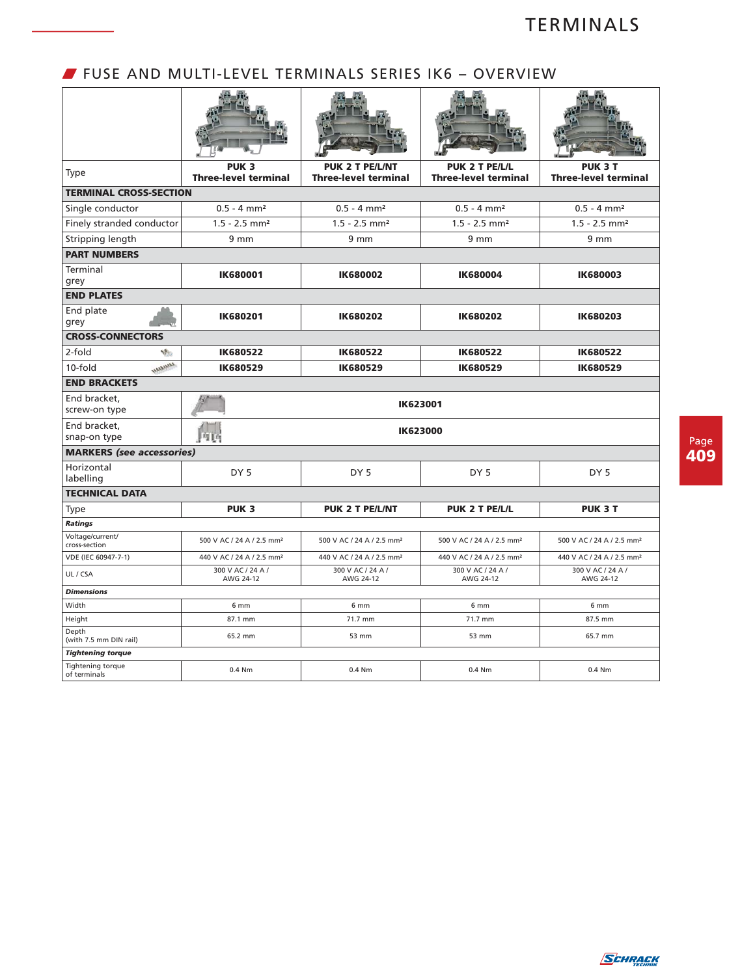## W FUSE AND MULTI-LEVEL TERMINALS SERIES IK6 – OVERVIEW

| <b>Type</b>                                   | PUK <sub>3</sub><br><b>Three-level terminal</b> | <b>PUK 2 T PE/L/NT</b><br><b>Three-level terminal</b> | PUK 2 T PE/L/L<br><b>Three-level terminal</b> | <b>PUK 3 T</b><br><b>Three-level terminal</b> |  |  |  |
|-----------------------------------------------|-------------------------------------------------|-------------------------------------------------------|-----------------------------------------------|-----------------------------------------------|--|--|--|
| <b>TERMINAL CROSS-SECTION</b>                 |                                                 |                                                       |                                               |                                               |  |  |  |
| Single conductor                              | $0.5 - 4$ mm <sup>2</sup>                       | $0.5 - 4$ mm <sup>2</sup>                             | $0.5 - 4$ mm <sup>2</sup>                     | $0.5 - 4$ mm <sup>2</sup>                     |  |  |  |
| Finely stranded conductor                     | $1.5 - 2.5$ mm <sup>2</sup>                     | $1.5 - 2.5$ mm <sup>2</sup>                           | $1.5 - 2.5$ mm <sup>2</sup>                   | $1.5 - 2.5$ mm <sup>2</sup>                   |  |  |  |
| Stripping length                              | 9 <sub>mm</sub>                                 | 9 <sub>mm</sub>                                       | 9 <sub>mm</sub>                               | 9 <sub>mm</sub>                               |  |  |  |
| <b>PART NUMBERS</b>                           |                                                 |                                                       |                                               |                                               |  |  |  |
| Terminal<br>grey                              | <b>IK680001</b>                                 | <b>IK680002</b>                                       | <b>IK680004</b>                               | <b>IK680003</b>                               |  |  |  |
| <b>END PLATES</b>                             |                                                 |                                                       |                                               |                                               |  |  |  |
| End plate<br>grey                             | <b>IK680201</b>                                 | IK680202                                              | <b>IK680202</b>                               | IK680203                                      |  |  |  |
| <b>CROSS-CONNECTORS</b>                       |                                                 |                                                       |                                               |                                               |  |  |  |
| 2-fold<br>V.                                  | IK680522                                        | <b>IK680522</b>                                       | <b>IK680522</b>                               | IK680522                                      |  |  |  |
| <b>AMARAMA</b><br>$10-fold$                   | IK680529                                        | IK680529                                              | IK680529                                      | IK680529                                      |  |  |  |
| <b>END BRACKETS</b>                           |                                                 |                                                       |                                               |                                               |  |  |  |
| End bracket.<br>screw-on type                 |                                                 |                                                       | IK623001                                      |                                               |  |  |  |
| End bracket,<br>snap-on type                  | 阿西                                              |                                                       | <b>IK623000</b>                               |                                               |  |  |  |
| <b>MARKERS</b> (see accessories)              |                                                 |                                                       |                                               |                                               |  |  |  |
| Horizontal                                    | DY <sub>5</sub>                                 | DY <sub>5</sub>                                       | DY <sub>5</sub>                               | DY <sub>5</sub>                               |  |  |  |
| labelling                                     |                                                 |                                                       |                                               |                                               |  |  |  |
| <b>TECHNICAL DATA</b>                         |                                                 |                                                       |                                               |                                               |  |  |  |
| <b>Type</b>                                   | PUK <sub>3</sub>                                | <b>PUK 2 T PE/L/NT</b>                                | PUK 2 T PE/L/L                                | <b>PUK 3 T</b>                                |  |  |  |
| <b>Ratings</b>                                |                                                 |                                                       |                                               |                                               |  |  |  |
|                                               |                                                 |                                                       |                                               |                                               |  |  |  |
| Voltage/current/<br>cross-section             | 500 V AC / 24 A / 2.5 mm <sup>2</sup>           | 500 V AC / 24 A / 2.5 mm <sup>2</sup>                 | 500 V AC / 24 A / 2.5 mm <sup>2</sup>         | 500 V AC / 24 A / 2.5 mm <sup>2</sup>         |  |  |  |
| VDE (IEC 60947-7-1)                           | 440 V AC / 24 A / 2.5 mm <sup>2</sup>           | 440 V AC / 24 A / 2.5 mm <sup>2</sup>                 | 440 V AC / 24 A / 2.5 mm <sup>2</sup>         | 440 V AC / 24 A / 2.5 mm <sup>2</sup>         |  |  |  |
| UL / CSA                                      | 300 V AC / 24 A /<br>AWG 24-12                  | 300 V AC / 24 A /<br>AWG 24-12                        | 300 V AC / 24 A /<br>AWG 24-12                | 300 V AC / 24 A /<br>AWG 24-12                |  |  |  |
| <b>Dimensions</b>                             |                                                 |                                                       |                                               |                                               |  |  |  |
| Width                                         | 6 mm                                            | 6 mm                                                  | 6 mm                                          | 6 mm                                          |  |  |  |
| Height                                        | 87.1 mm                                         | 71.7 mm                                               | 71.7 mm                                       | 87.5 mm                                       |  |  |  |
| Depth<br>(with 7.5 mm DIN rail)               | 65.2 mm                                         | 53 mm                                                 | 53 mm                                         | 65.7 mm                                       |  |  |  |
| <b>Tightening torque</b><br>Tightening torque |                                                 |                                                       |                                               |                                               |  |  |  |

Page **409**

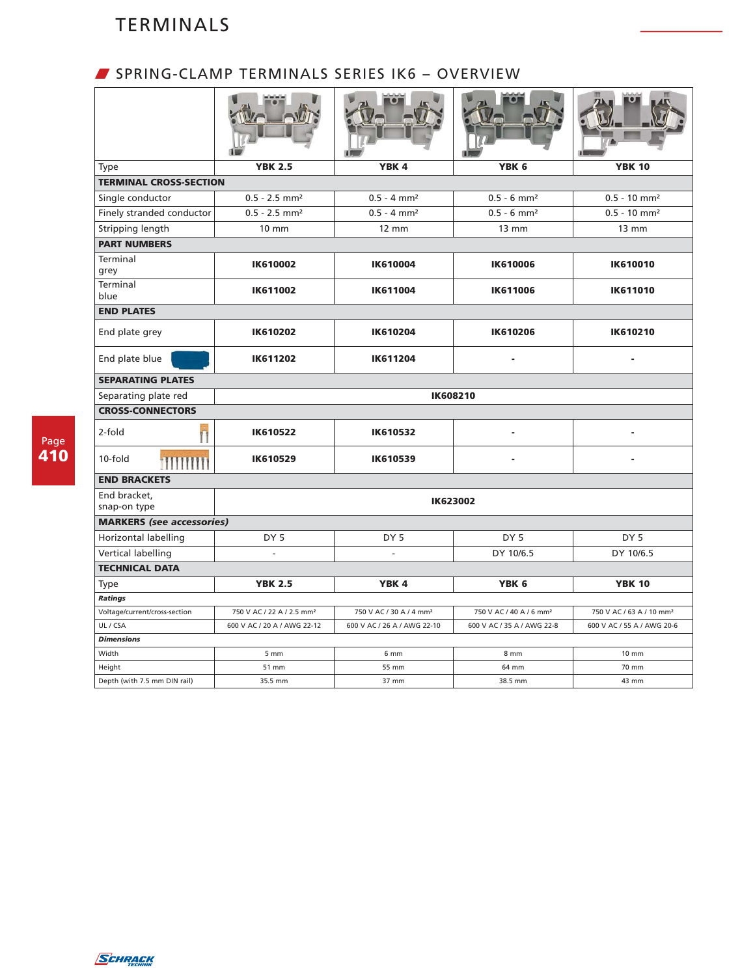## W SPRING-CLAMP TERMINALS SERIES IK6 – OVERVIEW

| Type                                   | <b>YBK 2.5</b>                        | YBK <sub>4</sub>                    | YBK <sub>6</sub>                    | <b>YBK 10</b>                        |  |  |
|----------------------------------------|---------------------------------------|-------------------------------------|-------------------------------------|--------------------------------------|--|--|
| <b>TERMINAL CROSS-SECTION</b>          |                                       |                                     |                                     |                                      |  |  |
| Single conductor                       | $0.5 - 2.5$ mm <sup>2</sup>           | $0.5 - 4$ mm <sup>2</sup>           | $0.5 - 6$ mm <sup>2</sup>           | $0.5 - 10$ mm <sup>2</sup>           |  |  |
| Finely stranded conductor              | $0.5 - 2.5$ mm <sup>2</sup>           | $0.5 - 4$ mm <sup>2</sup>           | $0.5 - 6$ mm <sup>2</sup>           | $0.5 - 10$ mm <sup>2</sup>           |  |  |
| Stripping length                       | 10 mm                                 | $12 \text{ mm}$                     | $13 \, \text{mm}$                   | $13 \, \text{mm}$                    |  |  |
| <b>PART NUMBERS</b>                    |                                       |                                     |                                     |                                      |  |  |
| Terminal<br>grey                       | <b>IK610002</b>                       | <b>IK610004</b>                     | <b>IK610006</b>                     | <b>IK610010</b>                      |  |  |
| Terminal<br>blue                       | IK611002                              | IK611004                            | IK611006                            | IK611010                             |  |  |
| <b>END PLATES</b>                      |                                       |                                     |                                     |                                      |  |  |
| End plate grey                         | <b>IK610202</b>                       | <b>IK610204</b>                     | <b>IK610206</b>                     | IK610210                             |  |  |
| End plate blue                         | <b>IK611202</b><br>IK611204           |                                     |                                     |                                      |  |  |
| <b>SEPARATING PLATES</b>               |                                       |                                     |                                     |                                      |  |  |
| Separating plate red                   |                                       |                                     | <b>IK608210</b>                     |                                      |  |  |
| <b>CROSS-CONNECTORS</b>                |                                       |                                     |                                     |                                      |  |  |
| 2-fold                                 | <b>IK610522</b>                       | IK610532                            |                                     |                                      |  |  |
| 10-fold<br><b>illillilli</b>           | IK610529                              | IK610539                            |                                     |                                      |  |  |
| <b>END BRACKETS</b>                    |                                       |                                     |                                     |                                      |  |  |
| End bracket,<br>snap-on type           |                                       |                                     | <b>IK623002</b>                     |                                      |  |  |
| <b>MARKERS</b> (see accessories)       |                                       |                                     |                                     |                                      |  |  |
| Horizontal labelling                   | DY <sub>5</sub>                       | DY <sub>5</sub>                     | DY <sub>5</sub>                     | DY <sub>5</sub>                      |  |  |
| Vertical labelling                     |                                       | $\overline{a}$                      | DY 10/6.5                           | DY 10/6.5                            |  |  |
| <b>TECHNICAL DATA</b>                  |                                       |                                     |                                     |                                      |  |  |
| Type                                   | <b>YBK 2.5</b>                        | YBK <sub>4</sub>                    | YBK 6                               | <b>YBK 10</b>                        |  |  |
| Ratings                                |                                       |                                     |                                     |                                      |  |  |
| Voltage/current/cross-section          | 750 V AC / 22 A / 2.5 mm <sup>2</sup> | 750 V AC / 30 A / 4 mm <sup>2</sup> | 750 V AC / 40 A / 6 mm <sup>2</sup> | 750 V AC / 63 A / 10 mm <sup>2</sup> |  |  |
| UL / CSA                               | 600 V AC / 20 A / AWG 22-12           | 600 V AC / 26 A / AWG 22-10         | 600 V AC / 35 A / AWG 22-8          | 600 V AC / 55 A / AWG 20-6           |  |  |
| <b>Dimensions</b>                      |                                       |                                     |                                     |                                      |  |  |
| Width                                  | $5 \, \text{mm}$                      | 6 <sub>mm</sub>                     | 8 mm                                | $10 \text{ mm}$                      |  |  |
|                                        |                                       |                                     |                                     |                                      |  |  |
| Height<br>Depth (with 7.5 mm DIN rail) | 51 mm<br>35.5 mm                      | 55 mm<br>37 mm                      | 64 mm<br>38.5 mm                    | 70 mm<br>43 mm                       |  |  |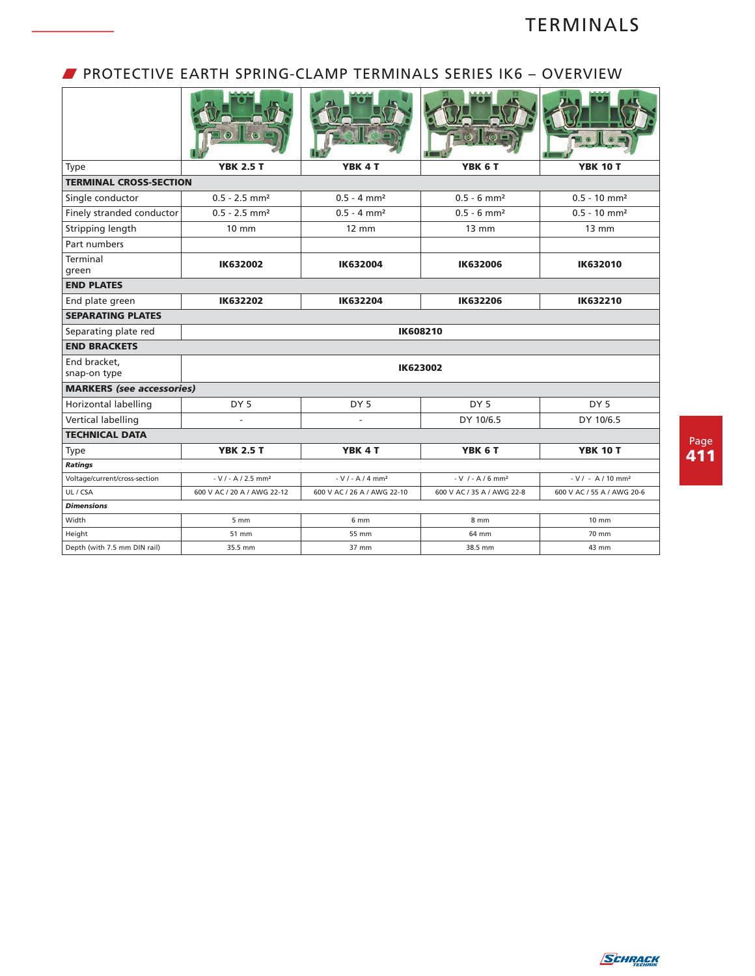### W PROTECTIVE EARTH SPRING-CLAMP TERMINALS SERIES IK6 – OVERVIEW

| Type                             | <b>YBK 2.5 T</b>                 | YBK 4 T                     | YBK 6 T                        | <b>YBK 10 T</b>                 |  |  |  |  |
|----------------------------------|----------------------------------|-----------------------------|--------------------------------|---------------------------------|--|--|--|--|
| <b>TERMINAL CROSS-SECTION</b>    |                                  |                             |                                |                                 |  |  |  |  |
| Single conductor                 | $0.5 - 2.5$ mm <sup>2</sup>      | $0.5 - 4$ mm <sup>2</sup>   | $0.5 - 6$ mm <sup>2</sup>      | $0.5 - 10$ mm <sup>2</sup>      |  |  |  |  |
| Finely stranded conductor        | $0.5 - 2.5$ mm <sup>2</sup>      | $0.5 - 4$ mm <sup>2</sup>   | $0.5 - 6$ mm <sup>2</sup>      | $0.5 - 10$ mm <sup>2</sup>      |  |  |  |  |
| Stripping length                 | $10 \text{ mm}$                  | $12 \, \text{mm}$           | $13 \text{ mm}$                | $13 \text{ mm}$                 |  |  |  |  |
| Part numbers                     |                                  |                             |                                |                                 |  |  |  |  |
| Terminal<br>green                | <b>IK632002</b>                  | IK632004                    | <b>IK632006</b>                | <b>IK632010</b>                 |  |  |  |  |
| <b>END PLATES</b>                |                                  |                             |                                |                                 |  |  |  |  |
| End plate green                  | IK632202                         | IK632204                    | IK632206                       | IK632210                        |  |  |  |  |
| <b>SEPARATING PLATES</b>         |                                  |                             |                                |                                 |  |  |  |  |
| Separating plate red             |                                  |                             | IK608210                       |                                 |  |  |  |  |
| <b>END BRACKETS</b>              |                                  |                             |                                |                                 |  |  |  |  |
| End bracket,<br>snap-on type     |                                  |                             | IK623002                       |                                 |  |  |  |  |
| <b>MARKERS</b> (see accessories) |                                  |                             |                                |                                 |  |  |  |  |
| Horizontal labelling             | DY <sub>5</sub>                  | DY <sub>5</sub>             | DY <sub>5</sub>                | DY <sub>5</sub>                 |  |  |  |  |
| <b>Vertical labelling</b>        | $\sim$                           |                             | DY 10/6.5                      | DY 10/6.5                       |  |  |  |  |
| <b>TECHNICAL DATA</b>            |                                  |                             |                                |                                 |  |  |  |  |
| <b>Type</b>                      | <b>YBK 2.5 T</b>                 | YBK <sub>4</sub> T          | YBK 6 T                        | <b>YBK 10 T</b>                 |  |  |  |  |
| Ratings                          |                                  |                             |                                |                                 |  |  |  |  |
| Voltage/current/cross-section    | $-V / - A / 2.5$ mm <sup>2</sup> | $-V / - A / 4 mm2$          | $-V$ / - A / 6 mm <sup>2</sup> | $-V / - A / 10$ mm <sup>2</sup> |  |  |  |  |
| UL / CSA                         | 600 V AC / 20 A / AWG 22-12      | 600 V AC / 26 A / AWG 22-10 | 600 V AC / 35 A / AWG 22-8     | 600 V AC / 55 A / AWG 20-6      |  |  |  |  |
| <b>Dimensions</b>                |                                  |                             |                                |                                 |  |  |  |  |
| Width                            | $5 \, \text{mm}$                 | 6 mm                        | 8 mm                           | $10 \, \text{mm}$               |  |  |  |  |
| Height                           | 51 mm                            | 55 mm                       | 64 mm                          | 70 mm                           |  |  |  |  |
| Depth (with 7.5 mm DIN rail)     | 35.5 mm                          | 37 mm                       | 38.5 mm                        | 43 mm                           |  |  |  |  |

Page **411**

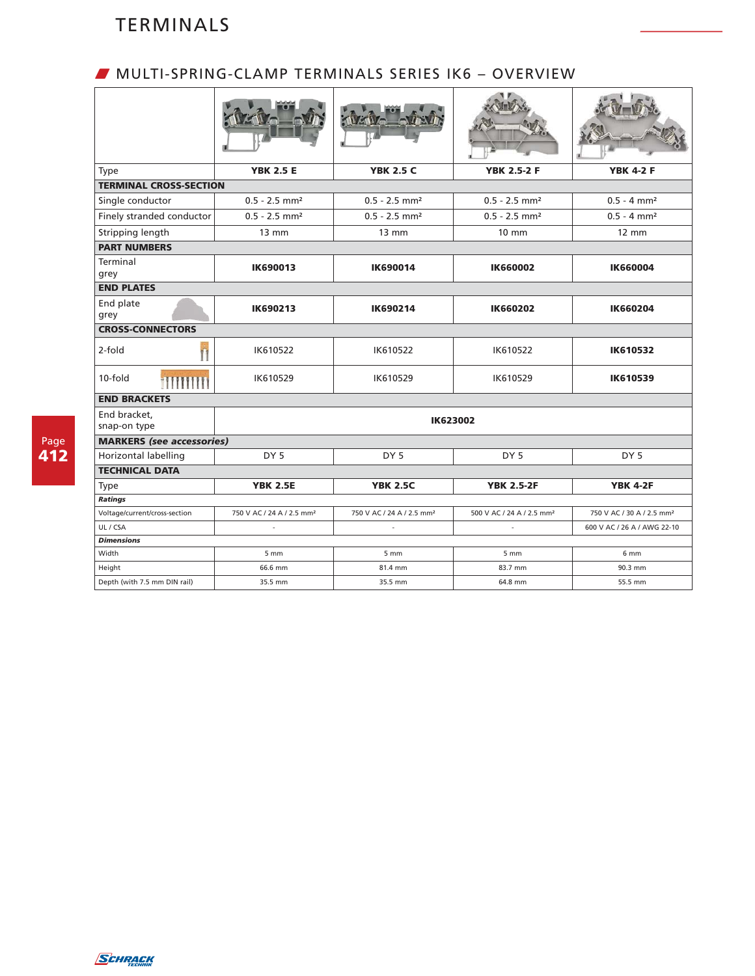## W MULTI-SPRING-CLAMP TERMINALS SERIES IK6 – OVERVIEW

| Type                             | <b>YBK 2.5 E</b>                      | <b>YBK 2.5 C</b>                      | <b>YBK 2.5-2 F</b>                    | <b>YBK 4-2 F</b>                      |
|----------------------------------|---------------------------------------|---------------------------------------|---------------------------------------|---------------------------------------|
| <b>TERMINAL CROSS-SECTION</b>    |                                       |                                       |                                       |                                       |
| Single conductor                 | $0.5 - 2.5$ mm <sup>2</sup>           | $0.5 - 2.5$ mm <sup>2</sup>           | $0.5 - 2.5$ mm <sup>2</sup>           | $0.5 - 4$ mm <sup>2</sup>             |
| Finely stranded conductor        | $0.5 - 2.5$ mm <sup>2</sup>           | $0.5 - 2.5$ mm <sup>2</sup>           | $0.5 - 2.5$ mm <sup>2</sup>           | $0.5 - 4$ mm <sup>2</sup>             |
| Stripping length                 | $13 \, \text{mm}$                     | $13 \text{ mm}$                       | $10 \text{ mm}$                       | $12 \text{ mm}$                       |
| <b>PART NUMBERS</b>              |                                       |                                       |                                       |                                       |
| Terminal<br>grey                 | IK690013                              | <b>IK690014</b>                       | <b>IK660002</b>                       | <b>IK660004</b>                       |
| <b>END PLATES</b>                |                                       |                                       |                                       |                                       |
| End plate<br>grey                | IK690213                              | IK690214                              | <b>IK660202</b>                       | <b>IK660204</b>                       |
| <b>CROSS-CONNECTORS</b>          |                                       |                                       |                                       |                                       |
| 2-fold                           | IK610522                              | IK610522                              | IK610522                              | IK610532                              |
| 10-fold<br><b>MUNIT</b>          | IK610529                              | IK610529                              | IK610529                              | IK610539                              |
| <b>END BRACKETS</b>              |                                       |                                       |                                       |                                       |
| End bracket,<br>snap-on type     |                                       | <b>IK623002</b>                       |                                       |                                       |
| <b>MARKERS</b> (see accessories) |                                       |                                       |                                       |                                       |
| Horizontal labelling             | DY <sub>5</sub>                       | DY <sub>5</sub>                       | DY <sub>5</sub>                       | DY <sub>5</sub>                       |
| <b>TECHNICAL DATA</b>            |                                       |                                       |                                       |                                       |
| <b>Type</b>                      | <b>YBK 2.5E</b>                       | <b>YBK 2.5C</b>                       | <b>YBK 2.5-2F</b>                     | <b>YBK 4-2F</b>                       |
| Ratings                          |                                       |                                       |                                       |                                       |
| Voltage/current/cross-section    | 750 V AC / 24 A / 2.5 mm <sup>2</sup> | 750 V AC / 24 A / 2.5 mm <sup>2</sup> | 500 V AC / 24 A / 2.5 mm <sup>2</sup> | 750 V AC / 30 A / 2.5 mm <sup>2</sup> |
| UL / CSA                         |                                       | ÷.                                    |                                       | 600 V AC / 26 A / AWG 22-10           |
| <b>Dimensions</b>                |                                       |                                       |                                       |                                       |
| Width                            | $5 \, \text{mm}$                      | 5 <sub>mm</sub>                       | 5 <sub>mm</sub>                       | 6 <sub>mm</sub>                       |
| Height                           | 66.6 mm                               | 81.4 mm                               | 83.7 mm                               | 90.3 mm                               |
| Depth (with 7.5 mm DIN rail)     | 35.5 mm                               | 35.5 mm                               | 64.8 mm                               | 55.5 mm                               |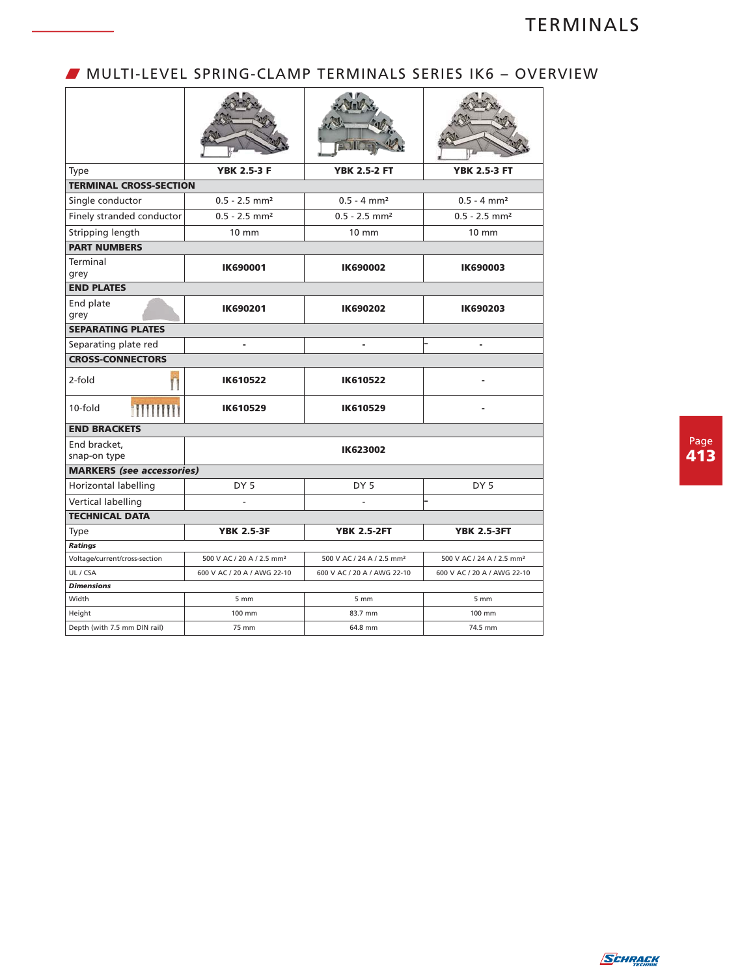### W MULTI-LEVEL SPRING-CLAMP TERMINALS SERIES IK6 – OVERVIEW

| <b>Type</b>                      | <b>YBK 2.5-3 F</b>                    | <b>YBK 2.5-2 FT</b>                   | <b>YBK 2.5-3 FT</b>                   |
|----------------------------------|---------------------------------------|---------------------------------------|---------------------------------------|
| <b>TERMINAL CROSS-SECTION</b>    |                                       |                                       |                                       |
| Single conductor                 | $0.5 - 2.5$ mm <sup>2</sup>           | $0.5 - 4$ mm <sup>2</sup>             | $0.5 - 4$ mm <sup>2</sup>             |
| Finely stranded conductor        | $0.5 - 2.5$ mm <sup>2</sup>           | $0.5 - 2.5$ mm <sup>2</sup>           | $0.5 - 2.5$ mm <sup>2</sup>           |
| Stripping length                 | $10 \text{ mm}$                       | $10 \text{ mm}$                       | 10 mm                                 |
| <b>PART NUMBERS</b>              |                                       |                                       |                                       |
| Terminal<br>grey                 | <b>IK690001</b>                       | IK690002                              | <b>IK690003</b>                       |
| <b>END PLATES</b>                |                                       |                                       |                                       |
| End plate<br>grey                | <b>IK690201</b>                       | IK690202                              | IK690203                              |
| <b>SEPARATING PLATES</b>         |                                       |                                       |                                       |
| Separating plate red             | ä,                                    | ä,                                    | ä,                                    |
| <b>CROSS-CONNECTORS</b>          |                                       |                                       |                                       |
| 2-fold                           | <b>IK610522</b>                       | <b>IK610522</b>                       |                                       |
| <b>TITHINI</b><br>$10-fold$      | IK610529                              | IK610529                              |                                       |
| <b>END BRACKETS</b>              |                                       |                                       |                                       |
| End bracket,<br>snap-on type     |                                       | <b>IK623002</b>                       |                                       |
| <b>MARKERS</b> (see accessories) |                                       |                                       |                                       |
| Horizontal labelling             | DY <sub>5</sub>                       | DY <sub>5</sub>                       | DY <sub>5</sub>                       |
| Vertical labelling               |                                       |                                       |                                       |
| <b>TECHNICAL DATA</b>            |                                       |                                       |                                       |
| <b>Type</b>                      | <b>YBK 2.5-3F</b>                     | <b>YBK 2.5-2FT</b>                    | <b>YBK 2.5-3FT</b>                    |
| <b>Ratings</b>                   |                                       |                                       |                                       |
| Voltage/current/cross-section    | 500 V AC / 20 A / 2.5 mm <sup>2</sup> | 500 V AC / 24 A / 2.5 mm <sup>2</sup> | 500 V AC / 24 A / 2.5 mm <sup>2</sup> |
| UL / CSA                         | 600 V AC / 20 A / AWG 22-10           | 600 V AC / 20 A / AWG 22-10           | 600 V AC / 20 A / AWG 22-10           |
| <b>Dimensions</b>                |                                       |                                       |                                       |
| Width                            | 5 <sub>mm</sub>                       | 5 <sub>mm</sub>                       | $5 \, \text{mm}$                      |
| Height                           | 100 mm                                | 83.7 mm                               | 100 mm                                |
| Depth (with 7.5 mm DIN rail)     | 75 mm                                 | 64.8 mm                               | 74.5 mm                               |

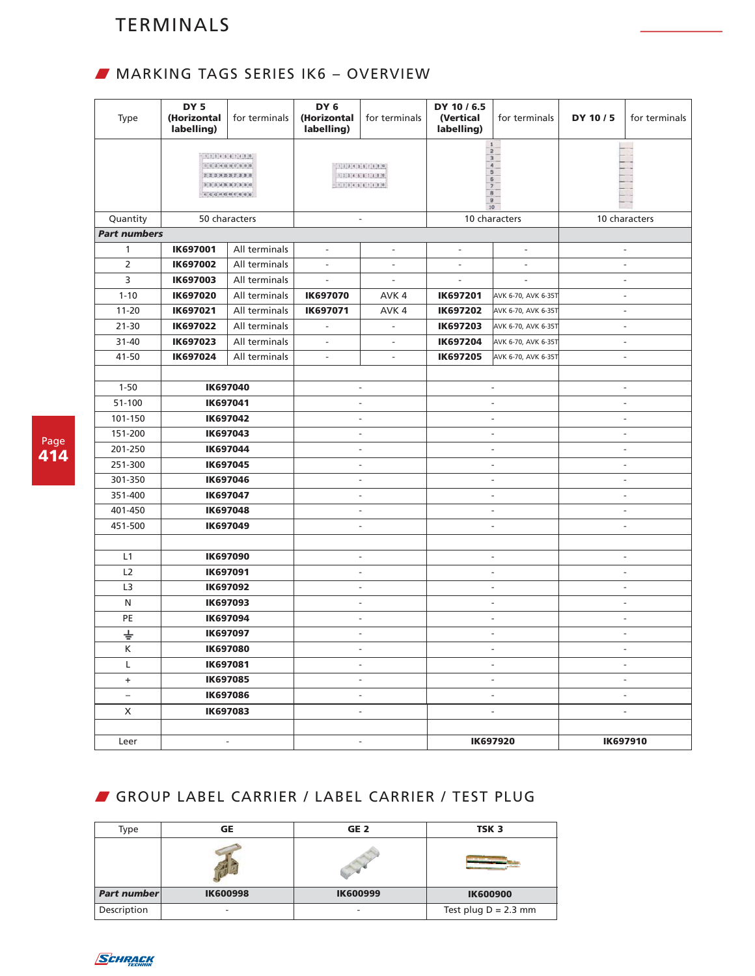# W MARKING TAGS SERIES IK6 – OVERVIEW

| Type                | DY <sub>5</sub><br>(Horizontal<br>labelling) | for terminals                                                                                                                                                                                                                                                                                           | DY <sub>6</sub><br>(Horizontal<br>labelling)                                                    | for terminals            | DY 10 / 6.5<br>(Vertical<br>labelling)                                    | for terminals            | DY 10/5 | for terminals            |
|---------------------|----------------------------------------------|---------------------------------------------------------------------------------------------------------------------------------------------------------------------------------------------------------------------------------------------------------------------------------------------------------|-------------------------------------------------------------------------------------------------|--------------------------|---------------------------------------------------------------------------|--------------------------|---------|--------------------------|
|                     |                                              | 1134547111<br>$\begin{bmatrix} 11 & 12 & 13 & 14 & 15 & 16 & 17 & 18 & 18 & 20 \end{bmatrix}$<br>$\begin{bmatrix} 21 & 22 & 23 & 34 & 25 & 28 & 27 & 28 & 20 \end{bmatrix}$<br>$\mathbb{R} \times \mathbb{R} \times \mathbb{R} \times \mathbb{R} \times \mathbb{R} \times \mathbb{R} \times \mathbb{R}$ | 1, 2, 3, 4, 5, 6, 7, 8, 8, 10<br>1, 2, 3, 4, 5, 8, 7, 8, 8, 10<br>1, 2, 3, 4, 5, 6, 7, 8, 8, 10 |                          | $\mathbf{1}$<br>$\overline{2}$<br>$\overline{\mathbf{3}}$<br>5<br>6<br>10 |                          |         |                          |
| Quantity            |                                              | 50 characters                                                                                                                                                                                                                                                                                           |                                                                                                 | $\overline{\phantom{a}}$ |                                                                           | 10 characters            |         | 10 characters            |
| <b>Part numbers</b> |                                              |                                                                                                                                                                                                                                                                                                         |                                                                                                 |                          |                                                                           |                          |         |                          |
| $\mathbf{1}$        | <b>IK697001</b>                              | All terminals                                                                                                                                                                                                                                                                                           | $\overline{\phantom{a}}$                                                                        | $\overline{\phantom{a}}$ | $\blacksquare$                                                            | $\blacksquare$           |         | $\overline{\phantom{a}}$ |
| $\overline{2}$      | <b>IK697002</b>                              | All terminals                                                                                                                                                                                                                                                                                           |                                                                                                 | $\overline{a}$           |                                                                           |                          |         | $\overline{\phantom{a}}$ |
| 3                   | <b>IK697003</b>                              | All terminals                                                                                                                                                                                                                                                                                           | $\overline{a}$                                                                                  | $\overline{\phantom{a}}$ |                                                                           |                          |         | $\frac{1}{2}$            |
| $1 - 10$            | IK697020                                     | All terminals                                                                                                                                                                                                                                                                                           | <b>IK697070</b>                                                                                 | AVK 4                    | <b>IK697201</b>                                                           | AVK 6-70, AVK 6-35T      |         | $\overline{\phantom{a}}$ |
| $11 - 20$           | IK697021                                     | All terminals                                                                                                                                                                                                                                                                                           | IK697071                                                                                        | AVK 4                    | IK697202                                                                  | AVK 6-70, AVK 6-35T      |         | $\overline{a}$           |
| $21 - 30$           | IK697022                                     | All terminals                                                                                                                                                                                                                                                                                           | $\overline{\phantom{a}}$                                                                        | $\overline{\phantom{a}}$ | IK697203                                                                  | AVK 6-70, AVK 6-35T      |         | $\overline{\phantom{a}}$ |
| $31 - 40$           | IK697023                                     | All terminals                                                                                                                                                                                                                                                                                           | $\blacksquare$                                                                                  | $\blacksquare$           | IK697204                                                                  | AVK 6-70, AVK 6-35T      |         | $\frac{1}{2}$            |
| 41-50               | IK697024                                     | All terminals                                                                                                                                                                                                                                                                                           | $\overline{\phantom{a}}$                                                                        | $\overline{\phantom{a}}$ | IK697205                                                                  | AVK 6-70, AVK 6-35T      |         | $\overline{\phantom{a}}$ |
|                     |                                              |                                                                                                                                                                                                                                                                                                         |                                                                                                 |                          |                                                                           |                          |         |                          |
| $1 - 50$            | IK697040                                     |                                                                                                                                                                                                                                                                                                         |                                                                                                 | $\overline{\phantom{a}}$ |                                                                           | $\overline{\phantom{a}}$ |         | $\overline{\phantom{a}}$ |
| 51-100              | IK697041                                     |                                                                                                                                                                                                                                                                                                         |                                                                                                 | $\overline{a}$           |                                                                           |                          |         | $\overline{a}$           |
| 101-150             | IK697042                                     |                                                                                                                                                                                                                                                                                                         |                                                                                                 | $\overline{\phantom{a}}$ |                                                                           | $\overline{a}$           |         | $\frac{1}{2}$            |
| 151-200             | IK697043                                     |                                                                                                                                                                                                                                                                                                         |                                                                                                 | $\overline{\phantom{a}}$ | ÷,                                                                        |                          |         | $\frac{1}{2}$            |
| 201-250             | IK697044                                     |                                                                                                                                                                                                                                                                                                         |                                                                                                 | $\overline{\phantom{a}}$ | $\overline{\phantom{a}}$                                                  |                          |         | $\overline{\phantom{a}}$ |
| 251-300             |                                              | IK697045                                                                                                                                                                                                                                                                                                |                                                                                                 | $\overline{\phantom{a}}$ |                                                                           | $\overline{\phantom{a}}$ |         | $\overline{\phantom{a}}$ |
| 301-350             |                                              | IK697046                                                                                                                                                                                                                                                                                                |                                                                                                 | $\overline{\phantom{a}}$ |                                                                           | ÷,                       |         | $\overline{a}$           |
| 351-400             |                                              | IK697047                                                                                                                                                                                                                                                                                                |                                                                                                 | $\overline{a}$           | L.                                                                        |                          |         | $\overline{\phantom{a}}$ |
| 401-450             |                                              | IK697048                                                                                                                                                                                                                                                                                                |                                                                                                 | $\overline{\phantom{a}}$ | ٠                                                                         |                          |         | $\overline{\phantom{a}}$ |
| 451-500             |                                              | IK697049                                                                                                                                                                                                                                                                                                |                                                                                                 | $\overline{\phantom{a}}$ | ÷                                                                         |                          |         | $\frac{1}{2}$            |
|                     |                                              |                                                                                                                                                                                                                                                                                                         |                                                                                                 |                          |                                                                           |                          |         |                          |
| L1                  |                                              | <b>IK697090</b>                                                                                                                                                                                                                                                                                         |                                                                                                 | $\overline{\phantom{a}}$ |                                                                           | $\overline{\phantom{a}}$ |         | $\overline{\phantom{a}}$ |
| L <sub>2</sub>      |                                              | IK697091                                                                                                                                                                                                                                                                                                |                                                                                                 | $\overline{\phantom{a}}$ |                                                                           | $\overline{\phantom{a}}$ |         | $\overline{\phantom{a}}$ |
| L <sub>3</sub>      |                                              | <b>IK697092</b>                                                                                                                                                                                                                                                                                         |                                                                                                 | $\overline{\phantom{a}}$ |                                                                           | $\overline{\phantom{a}}$ |         | $\overline{\phantom{a}}$ |
| N                   |                                              | <b>IK697093</b>                                                                                                                                                                                                                                                                                         |                                                                                                 | $\overline{\phantom{a}}$ |                                                                           | ÷.                       |         | $\overline{\phantom{a}}$ |
| PE                  |                                              | IK697094                                                                                                                                                                                                                                                                                                |                                                                                                 | $\overline{\phantom{a}}$ |                                                                           | $\overline{a}$           |         | $\overline{\phantom{a}}$ |
| $\div$              |                                              | <b>IK697097</b>                                                                                                                                                                                                                                                                                         |                                                                                                 | $\overline{\phantom{0}}$ |                                                                           | $\overline{\phantom{a}}$ |         | $\overline{a}$           |
| $\sf K$             |                                              | <b>IK697080</b>                                                                                                                                                                                                                                                                                         |                                                                                                 |                          |                                                                           |                          |         |                          |
| L                   |                                              | <b>IK697081</b>                                                                                                                                                                                                                                                                                         |                                                                                                 | $\overline{\phantom{a}}$ |                                                                           | $\overline{\phantom{a}}$ |         | $\overline{\phantom{a}}$ |
| $\ddot{}$           |                                              | <b>IK697085</b>                                                                                                                                                                                                                                                                                         |                                                                                                 | $\overline{\phantom{a}}$ |                                                                           | $\overline{\phantom{a}}$ |         | $\overline{\phantom{a}}$ |
| $\equiv$            |                                              | <b>IK697086</b>                                                                                                                                                                                                                                                                                         |                                                                                                 | $\overline{\phantom{a}}$ |                                                                           | $\overline{\phantom{a}}$ |         | $\overline{\phantom{a}}$ |
| X                   |                                              | IK697083                                                                                                                                                                                                                                                                                                |                                                                                                 | $\overline{\phantom{a}}$ |                                                                           | $\overline{\phantom{a}}$ |         | $\overline{\phantom{a}}$ |
|                     |                                              |                                                                                                                                                                                                                                                                                                         |                                                                                                 |                          |                                                                           |                          |         |                          |
| Leer                |                                              | $\overline{\phantom{a}}$                                                                                                                                                                                                                                                                                |                                                                                                 | $\overline{\phantom{a}}$ |                                                                           | IK697920                 |         | IK697910                 |

# GROUP LABEL CARRIER / LABEL CARRIER / TEST PLUG

| Type        | GE              | GE <sub>2</sub>          | TSK <sub>3</sub>       |
|-------------|-----------------|--------------------------|------------------------|
|             |                 |                          |                        |
| Part number | <b>IK600998</b> | <b>IK600999</b>          | <b>IK600900</b>        |
| Description |                 | $\overline{\phantom{0}}$ | Test plug $D = 2.3$ mm |

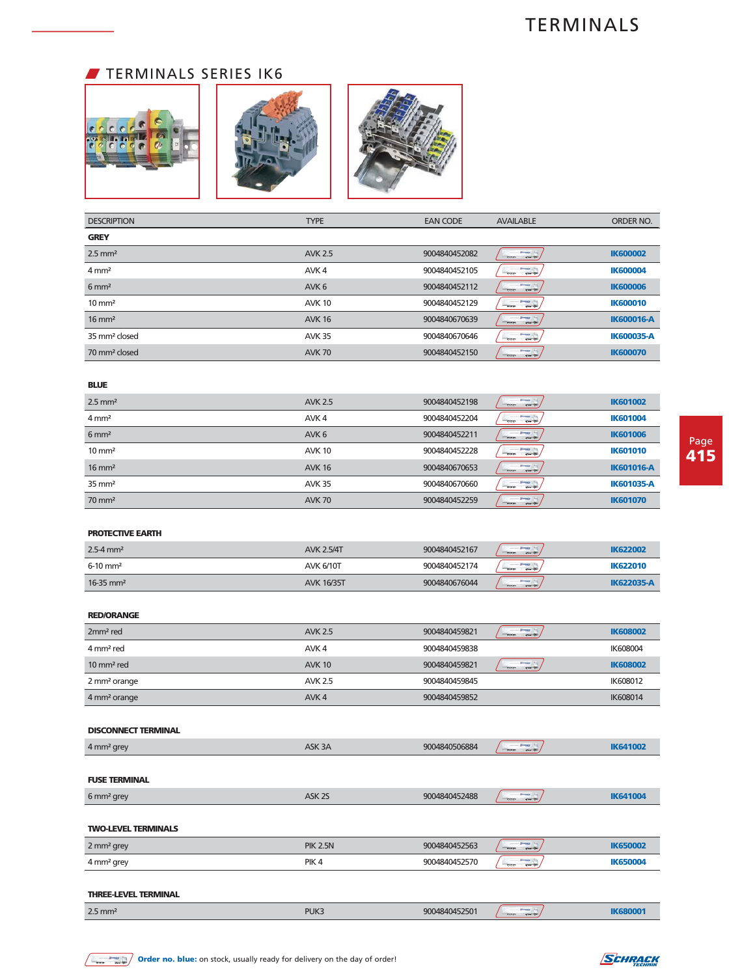## **TERMINALS SERIES IK6**



| <b>DESCRIPTION</b>        | <b>TYPE</b>      | <b>EAN CODE</b> | <b>AVAILABLE</b>                                   | ORDER NO.         |
|---------------------------|------------------|-----------------|----------------------------------------------------|-------------------|
| <b>GREY</b>               |                  |                 |                                                    |                   |
| $2.5$ mm <sup>2</sup>     | <b>AVK 2.5</b>   | 9004840452082   | <b>Sheep (F)</b><br>$O = 10$<br>$-$ 333            | <b>IK600002</b>   |
| $4 \text{ mm}^2$          | AVK <sub>4</sub> | 9004840452105   | <b>Present Limit</b><br>$-7 - 7$<br>$-999$         | <b>IK600004</b>   |
| $6 \text{ mm}^2$          | AVK <sub>6</sub> | 9004840452112   | <b>SHOW: 17</b><br>$O = 0$<br>$-999$               | <b>IK600006</b>   |
| $10 \text{ mm}^2$         | <b>AVK 10</b>    | 9004840452129   | <b>Jones Inc.</b><br>$-77$<br>$-999$               | <b>IK600010</b>   |
| $16 \text{ mm}^2$         | <b>AVK 16</b>    | 9004840670639   | <b>Sheep Inc.</b><br>$-0 - 0$<br>$-999$            | <b>IK600016-A</b> |
| 35 mm <sup>2</sup> closed | <b>AVK 35</b>    | 9004840670646   | <b>Division Lifes</b><br>$-900$<br>$-$ 0 $-$ 0 $-$ | <b>IK600035-A</b> |
| 70 mm <sup>2</sup> closed | <b>AVK 70</b>    | 9004840452150   | <b>Sheep Inc.</b><br>$0-0+$<br>$-999$              | <b>IK600070</b>   |

### **BLUE**

| $2.5$ mm <sup>2</sup> | <b>AVK 2.5</b>   | 9004840452198 | 37442<br>$\frac{1}{2}$<br>$O = 10$       | <b>IK601002</b>   |
|-----------------------|------------------|---------------|------------------------------------------|-------------------|
| $4 \, \text{mm}^2$    | AVK <sub>4</sub> | 9004840452204 | <b>Johnson</b><br>$-9 - 9$<br>$-000$     | <b>IK601004</b>   |
| $6 \text{ mm}^2$      | AVK <sub>6</sub> | 9004840452211 | $-999$<br>$O = 10$                       | <b>IK601006</b>   |
| $10 \text{ mm}^2$     | <b>AVK 10</b>    | 9004840452228 | <b>Press 17th</b><br>$0 - 0$<br>$-000$   | <b>IK601010</b>   |
| $16 \text{ mm}^2$     | <b>AVK 16</b>    | 9004840670653 | <b>SHOWS</b><br>$-999$<br>$O = 0$        | <b>IK601016-A</b> |
| $35 \text{ mm}^2$     | <b>AVK 35</b>    | 9004840670660 | <b>Print</b> (Fig.<br>$-0 - 0$<br>$-900$ | <b>IK601035-A</b> |
| $70 \text{ mm}^2$     | <b>AVK 70</b>    | 9004840452259 | <b>Jimacz</b><br>$-999$<br>$O = 0$       | <b>IK601070</b>   |

#### **PROTECTIVE EARTH**

| $2.5 - 4$ mm <sup>2</sup> | <b>AVK 2.5/4T</b> | 9004840452167 | <b>Bluesway</b><br>$-000$<br>$O = 0$   | <b>IK622002</b>   |
|---------------------------|-------------------|---------------|----------------------------------------|-------------------|
| $6-10$ mm <sup>2</sup>    | <b>AVK 6/10T</b>  | 9004840452174 | $0 - 0$<br>$-999$                      | <b>IK622010</b>   |
| $16-35$ mm <sup>2</sup>   | <b>AVK 16/35T</b> | 9004840676044 | <b>Bluestown</b><br>$-$ aaa<br>$O = 0$ | <b>IK622035-A</b> |

### **RED/ORANGE**

| 2mm <sup>2</sup> red     | <b>AVK 2.5</b>   | 9004840459821 | $-2 - 10$<br>$-900$<br><b>Company</b> | <b>IK608002</b> |
|--------------------------|------------------|---------------|---------------------------------------|-----------------|
| 4 mm <sup>2</sup> red    | AVK 4            | 9004840459838 |                                       | IK608004        |
| $10 \text{ mm}^2$ red    | <b>AVK 10</b>    | 9004840459821 | $-$ 2-40<br>$-900$                    | <b>IK608002</b> |
| 2 mm <sup>2</sup> orange | <b>AVK 2.5</b>   | 9004840459845 |                                       | IK608012        |
| 4 mm <sup>2</sup> orange | AVK <sub>4</sub> | 9004840459852 |                                       | IK608014        |

#### **DISCONNECT TERMINAL**

| 4 mm <sup>2</sup> grey      | ASK 3A            | 9004840506884 | <b>Press Pro</b><br>$O = 0$<br>$-900$           | <b>IK641002</b> |
|-----------------------------|-------------------|---------------|-------------------------------------------------|-----------------|
|                             |                   |               |                                                 |                 |
| <b>FUSE TERMINAL</b>        |                   |               |                                                 |                 |
| 6 mm <sup>2</sup> grey      | ASK <sub>2S</sub> | 9004840452488 | <b>Street (Fig.</b><br>$O = 0$<br>$\frac{1}{2}$ | <b>IK641004</b> |
|                             |                   |               |                                                 |                 |
| <b>TWO-LEVEL TERMINALS</b>  |                   |               |                                                 |                 |
| 2 mm <sup>2</sup> grey      | <b>PIK 2.5N</b>   | 9004840452563 | <b>Simple (F)</b><br>$-$ aaa<br>$O = 0$         | <b>IK650002</b> |
| 4 mm <sup>2</sup> grey      | PIK <sub>4</sub>  | 9004840452570 | <b>Present Limits</b><br>$-999$<br>$0 - 0$      | <b>IK650004</b> |
|                             |                   |               |                                                 |                 |
| <b>THREE-LEVEL TERMINAL</b> |                   |               |                                                 |                 |
| $2.5$ mm <sup>2</sup>       | PUK3              | 9004840452501 | <b>Simple 17</b><br>$\frac{1}{2}$<br>$O = 0$    | <b>IK680001</b> |

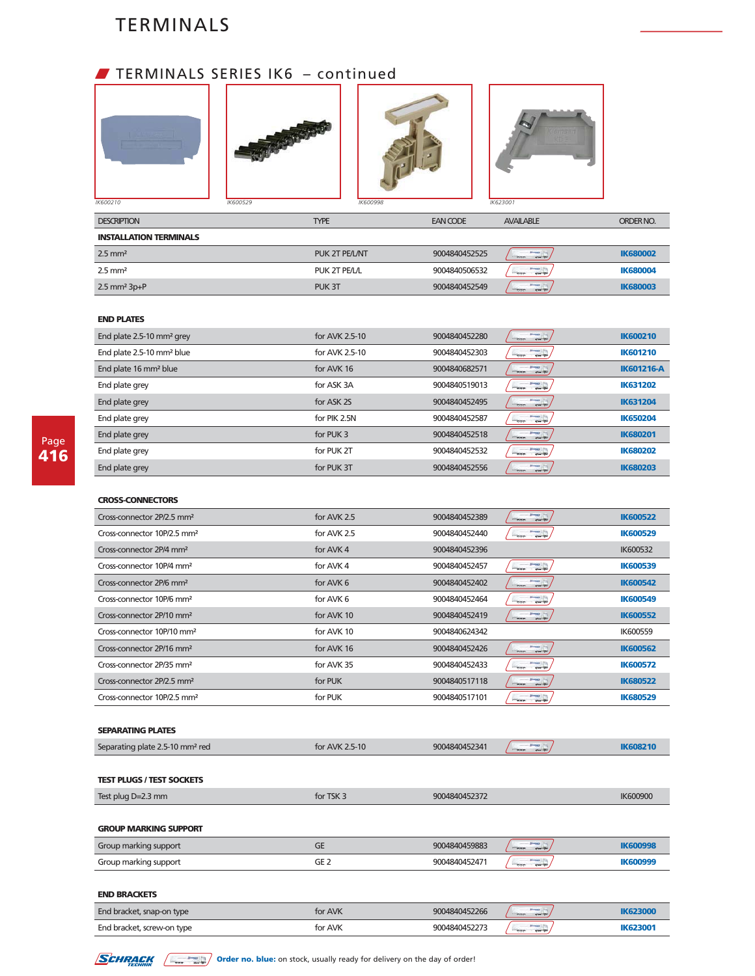## **FILMINALS SERIES IK6 - continued**









| <b>DESCRIPTION</b>            | <b>TYPE</b>    | <b>EAN CODE</b> | <b>AVAILABLE</b>                                  | ORDER NO.       |
|-------------------------------|----------------|-----------------|---------------------------------------------------|-----------------|
| <b>INSTALLATION TERMINALS</b> |                |                 |                                                   |                 |
| $2.5$ mm <sup>2</sup>         | PUK 2T PE/L/NT | 9004840452525   | <b>Jimacz</b><br>$-\sigma\sigma\sigma$<br>$O = 0$ | <b>IK680002</b> |
| $2.5$ mm <sup>2</sup>         | PUK 2T PE/L/L  | 9004840506532   | $rac{1}{2}$<br>$-7$<br>$-000$                     | <b>IK680004</b> |
| $2.5$ mm <sup>2</sup> $3p+P$  | PUK 3T         | 9004840452549   | <b>Bineston</b><br>$-\sigma\sigma\sigma$<br>$-$   | <b>IK680003</b> |

### **END PLATES**

| End plate 2.5-10 mm <sup>2</sup> grey | for AVK 2.5-10 | 9004840452280 | <b>Bisman Line</b><br>$   -$<br>$-$ 000                  | <b>IK600210</b>   |
|---------------------------------------|----------------|---------------|----------------------------------------------------------|-------------------|
| End plate 2.5-10 mm <sup>2</sup> blue | for AVK 2.5-10 | 9004840452303 | <b>Birman Line</b><br>$  -$<br>$-000$                    | <b>IK601210</b>   |
| End plate 16 mm <sup>2</sup> blue     | for AVK 16     | 9004840682571 | 37442<br>$O = 10$<br>$\frac{1}{1000}$                    | <b>IK601216-A</b> |
| End plate grey                        | for ASK 3A     | 9004840519013 | <b>Sheep Inc.</b><br>$O = 10$<br>000                     | <b>IK631202</b>   |
| End plate grey                        | for ASK 2S     | 9004840452495 | <b>SHOWS</b><br>$O = 10$<br>$-$ 000                      | <b>IK631204</b>   |
| End plate grey                        | for PIK 2.5N   | 9004840452587 | Print (F)<br>$-$<br>$-000$                               | <b>IK650204</b>   |
| End plate grey                        | for PUK 3      | 9004840452518 | <b>Sheep In</b><br>$O = \frac{1}{2}$<br>$\frac{1}{1000}$ | <b>IK680201</b>   |
| End plate grey                        | for PUK 2T     | 9004840452532 | <b>Jones For</b><br>$-000$<br>$Q = \frac{1}{2}$          | <b>IK680202</b>   |
| End plate grey                        | for PUK 3T     | 9004840452556 | <b>Sheep Inc.</b><br>$\frac{1}{2}$<br>Case (Dr.          | <b>IK680203</b>   |

### **CROSS-CONNECTORS**

| Cross-connector 2P/2.5 mm <sup>2</sup>  | for AVK 2.5 | 9004840452389 | $\frac{1}{1000}$<br>$O = 1$                           | <b>IK600522</b> |
|-----------------------------------------|-------------|---------------|-------------------------------------------------------|-----------------|
| Cross-connector 10P/2.5 mm <sup>2</sup> | for AVK 2.5 | 9004840452440 | $O = 10$<br>$\frac{1}{1000}$                          | <b>IK600529</b> |
| Cross-connector 2P/4 mm <sup>2</sup>    | for AVK 4   | 9004840452396 |                                                       | IK600532        |
| Cross-connector 10P/4 mm <sup>2</sup>   | for AVK 4   | 9004840452457 | <b>Jones Inc.</b><br>$77 - 10$<br>mm                  | <b>IK600539</b> |
| Cross-connector 2P/6 mm <sup>2</sup>    | for AVK 6   | 9004840452402 | <b>Sheeper</b><br>$\sigma$<br>$C = C$                 | <b>IK600542</b> |
| Cross-connector 10P/6 mm <sup>2</sup>   | for AVK 6   | 9004840452464 | <b>Jones In</b><br>000<br>$  -$                       | <b>IK600549</b> |
| Cross-connector 2P/10 mm <sup>2</sup>   | for AVK 10  | 9004840452419 | $\frac{1}{1000}$<br>$-$                               | <b>IK600552</b> |
| Cross-connector 10P/10 mm <sup>2</sup>  | for AVK 10  | 9004840624342 |                                                       | IK600559        |
| Cross-connector 2P/16 mm <sup>2</sup>   | for AVK 16  | 9004840452426 | Present China<br>$O = 10$                             | <b>IK600562</b> |
| Cross-connector 2P/35 mm <sup>2</sup>   | for AVK 35  | 9004840452433 | <b>Press</b> 2<br><b>CONTRACTOR</b><br>mm             | <b>IK600572</b> |
| Cross-connector 2P/2.5 mm <sup>2</sup>  | for PUK     | 9004840517118 | <b>House</b><br>$\frac{1}{1000}$<br>$O = \frac{1}{2}$ | <b>IK680522</b> |
| Cross-connector 10P/2.5 mm <sup>2</sup> | for PUK     | 9004840517101 | <b>County</b>                                         | <b>IK680529</b> |

### **SEPARATING PLATES**

| Separating plate 2.5-10 mm <sup>2</sup> red | for AVK 2.5-10  | 9004840452341 | <b>Hotel Pro</b><br>$0 - 0$<br>$\sigma \sigma \sigma$   | <b>IK608210</b> |
|---------------------------------------------|-----------------|---------------|---------------------------------------------------------|-----------------|
|                                             |                 |               |                                                         |                 |
| <b>TEST PLUGS / TEST SOCKETS</b>            |                 |               |                                                         |                 |
| Test plug D=2.3 mm                          | for TSK 3       | 9004840452372 |                                                         | IK600900        |
|                                             |                 |               |                                                         |                 |
| <b>GROUP MARKING SUPPORT</b>                |                 |               |                                                         |                 |
| Group marking support                       | <b>GE</b>       | 9004840459883 | $1 - 10$<br>$O = 10$<br>$-$ 000                         | <b>IK600998</b> |
| Group marking support                       | GE <sub>2</sub> | 9004840452471 | <b>Sheep Inc</b><br>$20 - 20$<br>000                    | <b>IK600999</b> |
|                                             |                 |               |                                                         |                 |
| <b>END BRACKETS</b>                         |                 |               |                                                         |                 |
| End bracket, snap-on type                   | for AVK         | 9004840452266 | <b>Preservation</b><br>$O = 0$<br>$-\sigma\sigma\sigma$ | <b>IK623000</b> |

End bracket, screw-on type for AVK 9004840452273 **IK623001**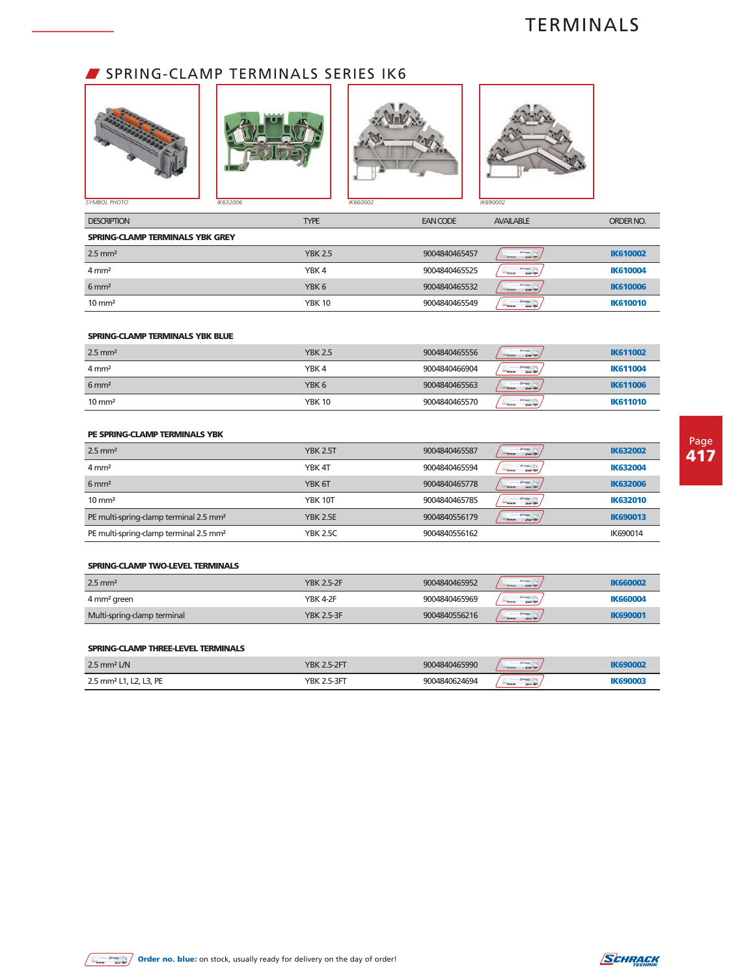## SPRING-CLAMP TERMINALS SERIES IK6



| <b>DESCRIPTION</b>              | <b>TYPE</b>    | <b>EAN CODE</b> | <b>AVAILABLE</b>                         | ORDER NO.       |
|---------------------------------|----------------|-----------------|------------------------------------------|-----------------|
| SPRING-CLAMP TERMINALS YBK GREY |                |                 |                                          |                 |
| $2.5$ mm <sup>2</sup>           | <b>YBK 2.5</b> | 9004840465457   | $-999$<br>$O = 0$                        | <b>IK610002</b> |
| $4 \text{ mm}^2$                | YBK4           | 9004840465525   | $rac{1}{2}$<br>$-900$<br>$7 - 7$         | <b>IK610004</b> |
| $6 \text{ mm}^2$                | YBK 6          | 9004840465532   | <b>SHOWER</b><br>$-999$<br>$O = 10$      | <b>IK610006</b> |
| $10 \text{ mm}^2$               | <b>YBK 10</b>  | 9004840465549   | <b>Prestor Life</b><br>$O = 0$<br>$-999$ | <b>IK610010</b> |

### **SPRING-CLAMP TERMINALS YBK BLUE**

| $2.5$ mm <sup>2</sup> | <b>YBK 2.5</b>   | 9004840465556 | <b><i><u>Property</u></i></b><br>$\frac{1}{2}$<br>$O = 0$ | <b>IK611002</b> |
|-----------------------|------------------|---------------|-----------------------------------------------------------|-----------------|
| $4 \text{ mm}^2$      | YBK <sub>4</sub> | 9004840466904 | <b><i><u>Present</u></i></b><br>$0 - 0$<br>$-$ 335        | <b>IK611004</b> |
| $6 \text{ mm}^2$      | YBK <sub>6</sub> | 9004840465563 | <b>Bineston</b><br>$\frac{1}{2}$<br>$O = 0$               | <b>IK611006</b> |
| $10 \text{ mm}^2$     | <b>YBK 10</b>    | 9004840465570 | <b>Bluesed</b><br>$O = 10$<br>$-999$                      | <b>IK611010</b> |

### **PE SPRING-CLAMP TERMINALS YBK**

| $2.5$ mm <sup>2</sup>                              | <b>YBK 2.5T</b> | 9004840465587 | <b>Jimmer</b><br>$0 - 0$<br>$-900$   | <b>IK632002</b> |
|----------------------------------------------------|-----------------|---------------|--------------------------------------|-----------------|
| $4 \, \text{mm}^2$                                 | YBK 4T          | 9004840465594 | <b>SHOWLER</b><br>$O = 0$<br>ਰਹਰ     | <b>IK632004</b> |
| $6 \text{ mm}^2$                                   | YBK 6T          | 9004840465778 | <b>Sheeper</b><br>$-000$<br>$O = 0$  | <b>IK632006</b> |
| $10 \text{ mm}^2$                                  | <b>YBK 10T</b>  | 9004840465785 | <b>Birming</b><br>$O = 0$<br>ਰਰਰ     | <b>IK632010</b> |
| PE multi-spring-clamp terminal 2.5 mm <sup>2</sup> | <b>YBK 2.5E</b> | 9004840556179 | <b>Jimacr</b><br>$-$ 999.<br>$O = 1$ | <b>IK690013</b> |
| PE multi-spring-clamp terminal 2.5 mm <sup>2</sup> | <b>YBK 2.5C</b> | 9004840556162 |                                      | IK690014        |

#### **SPRING-CLAMP TWO-LEVEL TERMINALS**

| $2.5$ mm <sup>2</sup>       | <b>YBK 2.5-2F</b> | 9004840465952 | $\cdots$<br>$-$ 333<br>$O = 0$      | <b>IK660002</b> |
|-----------------------------|-------------------|---------------|-------------------------------------|-----------------|
| 4 mm <sup>2</sup> green     | <b>YBK 4-2F</b>   | 9004840465969 | $ -$<br>$0 - 0$<br>$-999$           | <b>IK660004</b> |
| Multi-spring-clamp terminal | <b>YBK 2.5-3F</b> | 9004840556216 | <b>SHOWER</b><br>$-999$<br>$O = 10$ | <b>IK690001</b> |

#### **SPRING-CLAMP THREE-LEVEL TERMINALS**

| $2.5$ mm <sup>2</sup> L/N                          | $-2FT$<br>YBK | 9004840465990 | $-000 -$<br>$-0$                         |  |
|----------------------------------------------------|---------------|---------------|------------------------------------------|--|
| $2.5$ mm <sup>2</sup><br>DE<br><b>__, . _</b><br>. | -3FT<br>YBK   | 9004840624694 | ____<br>$\frac{1}{2}$<br><b>Count Of</b> |  |

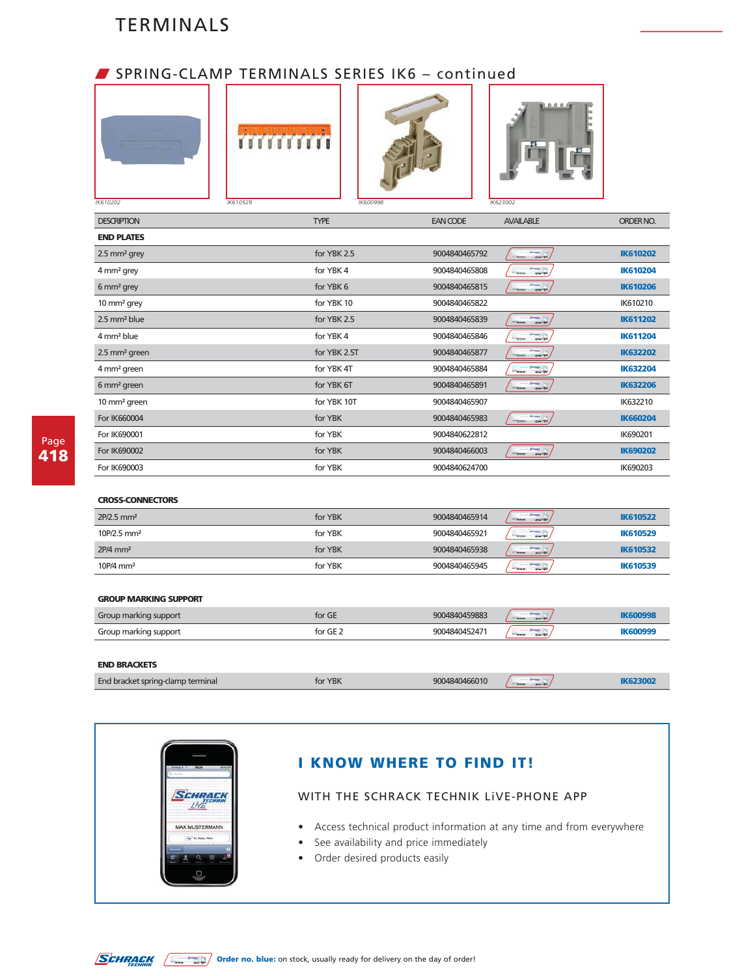### W SPRING-CLAMP TERMINALS SERIES IK6 – continued







| <b>DESCRIPTION</b>        | <b>TYPE</b>  | <b>EAN CODE</b> | <b>AVAILABLE</b>                             | ORDER NO.       |
|---------------------------|--------------|-----------------|----------------------------------------------|-----------------|
| <b>END PLATES</b>         |              |                 |                                              |                 |
| 2.5 mm <sup>2</sup> grey  | for YBK 2.5  | 9004840465792   | $\overline{\phantom{a}}$<br>$\frac{1}{1000}$ | <b>IK610202</b> |
| 4 mm <sup>2</sup> grey    | for YBK 4    | 9004840465808   | Prest 17th<br>000<br>$-$                     | <b>IK610204</b> |
| 6 mm <sup>2</sup> grey    | for YBK 6    | 9004840465815   | $\overline{\phantom{a}}$<br>$\frac{1}{1000}$ | <b>IK610206</b> |
| 10 mm <sup>2</sup> grey   | for YBK 10   | 9004840465822   |                                              | IK610210        |
| 2.5 mm <sup>2</sup> blue  | for YBK 2.5  | 9004840465839   | $\frac{1}{\sqrt{2}}$<br>$\frac{1}{1000}$     | <b>IK611202</b> |
| 4 mm <sup>2</sup> blue    | for YBK 4    | 9004840465846   | $\equiv$<br>$\sigma$                         | <b>IK611204</b> |
| 2.5 mm <sup>2</sup> green | for YBK 2.5T | 9004840465877   | $\equiv$<br>$\frac{1}{1000}$                 | <b>IK632202</b> |
| 4 mm <sup>2</sup> green   | for YBK 4T   | 9004840465884   | $\equiv$<br>$\frac{1}{1000}$                 | <b>IK632204</b> |
| 6 mm <sup>2</sup> green   | for YBK 6T   | 9004840465891   | <b>Print</b> Int<br>$-1$<br>$\frac{1}{1000}$ | <b>IK632206</b> |
| 10 mm <sup>2</sup> green  | for YBK 10T  | 9004840465907   |                                              | IK632210        |
| For IK660004              | for YBK      | 9004840465983   | $\frac{1}{\sqrt{2}}$<br>$-$ 000              | <b>IK660204</b> |
| For IK690001              | for YBK      | 9004840622812   |                                              | IK690201        |
| For IK690002              | for YBK      | 9004840466003   | $\overline{\phantom{a}}$<br>$-$ 000          | <b>IK690202</b> |
| For IK690003              | for YBK      | 9004840624700   |                                              | IK690203        |
|                           |              |                 |                                              |                 |

### **CROSS-CONNECTORS**

| $2P/2.5$ mm <sup>2</sup>  | for YBK | 9004840465914 | <b>Streets</b><br>$-$ 000<br>$-7$                  | <b>IK610522</b> |
|---------------------------|---------|---------------|----------------------------------------------------|-----------------|
| $10P/2.5$ mm <sup>2</sup> | for YBK | 9004840465921 | <b>Streets</b><br>$O = 1$<br>$-\sigma\sigma\sigma$ | <b>IK610529</b> |
| $2P/4$ mm <sup>2</sup>    | for YBK | 9004840465938 | <b>STATISTICS</b><br>$\equiv$ 000<br>$-7$          | <b>IK610532</b> |
| 10P/4 mm <sup>2</sup>     | for YBK | 9004840465945 | $q = \frac{1}{2}$<br>$-000$                        | <b>IK610539</b> |

#### **GROUP MARKING SUPPORT**

| Group marking support | for GE   | 9004840459883 | <b>SHOW:</b><br>$-\sigma\sigma\sigma$<br>$O = 0$ | <b>IK600998</b> |
|-----------------------|----------|---------------|--------------------------------------------------|-----------------|
| Group marking support | for GE 2 | 9004840452471 | $-7$<br>$-$ 000                                  | <b>IK600999</b> |
|                       |          |               |                                                  |                 |
| <b>END BRACKETS</b>   |          |               |                                                  |                 |

# End bracket spring-clamp terminal **interval of the COVIDER STATE 19004840466010 IK623002 IK623002**

| 08:26<br>m۸<br>۰<br>SCHRAC<br><b>MAX MUSTERMANN</b><br>By Store: Wien |  |
|-----------------------------------------------------------------------|--|
|                                                                       |  |
|                                                                       |  |
|                                                                       |  |
|                                                                       |  |
|                                                                       |  |

## **I KNOW WHERE TO FIND IT!**

### WITH THE SCHRACK TECHNIK LiVE-PHONE APP

- Access technical product information at any time and from everywhere
- See availability and price immediately
- Order desired products easily

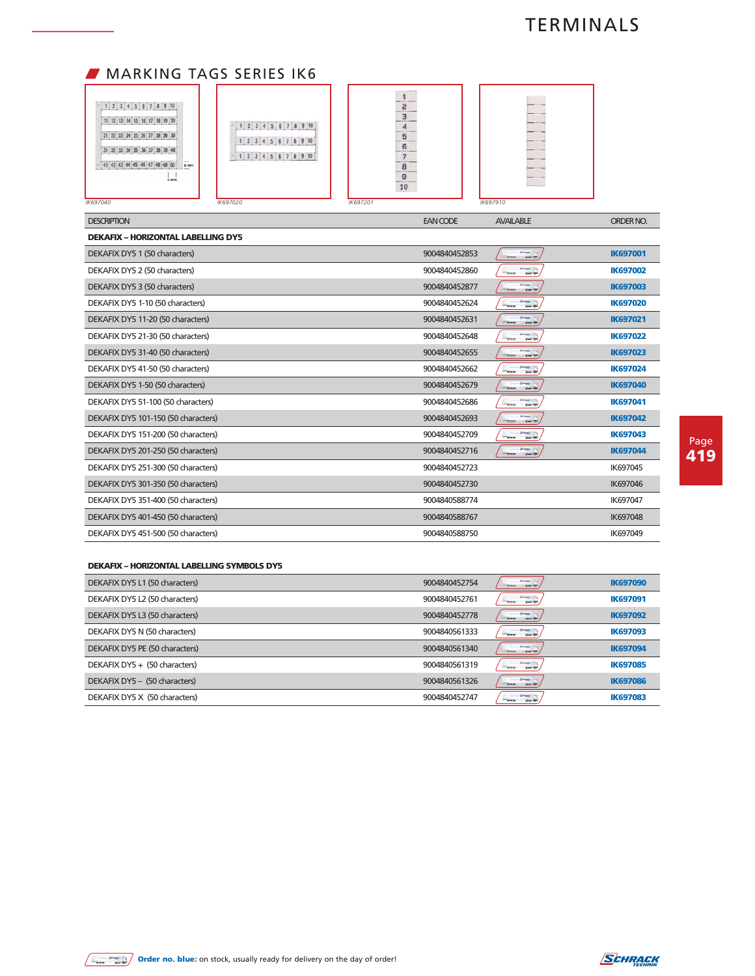## **MARKING TAGS SERIES IK6**

| 1 2 3 4 5 6 7 8 9 10<br>11 12 13 14 15 16 17 18 19 20<br>21 22 23 24 25 26 27 28 29 30<br>34 35 36 37 38 39 40<br>$\qquad \qquad$<br>41 42 43 44 45 46 47 48 49 50<br>5 mm.<br>5 mm.<br>K697040 | $1$ $2$ $3$ $4$ $5$ $6$ $7$ $8$ $9$ $10$<br>2 3 4 5 6 7 8 9 10<br>$1$ , 2, 3, 4, 5, 6, 7, 8, 9, 10<br>IK697020 | 2<br>3<br>_____<br>5<br>6<br>---<br>8<br>9<br>10<br>IK697201 | IK697910 |
|-------------------------------------------------------------------------------------------------------------------------------------------------------------------------------------------------|----------------------------------------------------------------------------------------------------------------|--------------------------------------------------------------|----------|
|                                                                                                                                                                                                 |                                                                                                                |                                                              |          |

| <b>DESCRIPTION</b>                        | <b>EAN CODE</b> | <b>AVAILABLE</b>                             | ORDER NO.       |
|-------------------------------------------|-----------------|----------------------------------------------|-----------------|
| <b>DEKAFIX - HORIZONTAL LABELLING DY5</b> |                 |                                              |                 |
| DEKAFIX DY5 1 (50 characters)             | 9004840452853   | $-$<br>$-$ 333                               | <b>IK697001</b> |
| DEKAFIX DY5 2 (50 characters)             | 9004840452860   | $\overline{\phantom{a}}$<br>$-$              | <b>IK697002</b> |
| DEKAFIX DY5 3 (50 characters)             | 9004840452877   | $\frac{1}{\sqrt{2}}$<br>$\frac{1}{1000}$     | <b>IK697003</b> |
| DEKAFIX DY5 1-10 (50 characters)          | 9004840452624   | ≂.<br>$-$ 335                                | <b>IK697020</b> |
| DEKAFIX DY5 11-20 (50 characters)         | 9004840452631   | <b>Property</b> (Fig.<br>$0 - 0$<br>$\sigma$ | <b>IK697021</b> |
| DEKAFIX DY5 21-30 (50 characters)         | 9004840452648   | $\sim$<br>000                                | <b>IK697022</b> |
| DEKAFIX DY5 31-40 (50 characters)         | 9004840452655   | $-0$<br>$\sigma$                             | <b>IK697023</b> |
| DEKAFIX DY5 41-50 (50 characters)         | 9004840452662   | $\overline{\phantom{a}}$<br>$-$ 335          | <b>IK697024</b> |
| DEKAFIX DY5 1-50 (50 characters)          | 9004840452679   | $\frac{1}{\sqrt{2}}$<br>$\sigma$             | <b>IK697040</b> |
| DEKAFIX DY5 51-100 (50 characters)        | 9004840452686   | $\sim$<br>$\frac{1}{2}$                      | <b>IK697041</b> |
| DEKAFIX DY5 101-150 (50 characters)       | 9004840452693   | $0 - 0$<br>$-900$                            | <b>IK697042</b> |
| DEKAFIX DY5 151-200 (50 characters)       | 9004840452709   | $\overline{\phantom{a}}$<br>$\frac{1}{2}$    | <b>IK697043</b> |
| DEKAFIX DY5 201-250 (50 characters)       | 9004840452716   | $-1$<br>$-900$                               | <b>IK697044</b> |
| DEKAFIX DY5 251-300 (50 characters)       | 9004840452723   |                                              | IK697045        |
| DEKAFIX DY5 301-350 (50 characters)       | 9004840452730   |                                              | IK697046        |
| DEKAFIX DY5 351-400 (50 characters)       | 9004840588774   |                                              | IK697047        |
| DEKAFIX DY5 401-450 (50 characters)       | 9004840588767   |                                              | IK697048        |
| DEKAFIX DY5 451-500 (50 characters)       | 9004840588750   |                                              | IK697049        |

#### **DEKAFIX – HORIZONTAL LABELLING SYMBOLS DY5**

| DEKAFIX DY5 L1 (50 characters) | 9004840452754 | <b>SHOWER</b><br>$O = 10$<br>$-900$              | <b>IK697090</b> |
|--------------------------------|---------------|--------------------------------------------------|-----------------|
| DEKAFIX DY5 L2 (50 characters) | 9004840452761 | <b>Present</b><br>$-$ 0 $-$ 0 $+$<br>000         | <b>IK697091</b> |
| DEKAFIX DY5 L3 (50 characters) | 9004840452778 | <b>SHOWER</b><br>$O = 0$<br>$-999$               | <b>IK697092</b> |
| DEKAFIX DY5 N (50 characters)  | 9004840561333 | <b>SHOW: 15</b><br><b>COMPOS</b><br>$-900$       | <b>IK697093</b> |
| DEKAFIX DY5 PE (50 characters) | 9004840561340 | <b>SHOW:</b><br>$O = 0$<br>$-$ aaa               | <b>IK697094</b> |
| DEKAFIX DY5 + (50 characters)  | 9004840561319 | <b>Sheeps 11</b><br><b>Company</b><br>000        | <b>IK697085</b> |
| DEKAFIX DY5 - (50 characters)  | 9004840561326 | <b>Prestor Links</b><br>$\frac{1}{2}$<br>$O = 0$ | <b>IK697086</b> |
| DEKAFIX DY5 X (50 characters)  | 9004840452747 | <b>Sheeps In</b><br>$Q = \overline{Q}$<br>000    | <b>IK697083</b> |